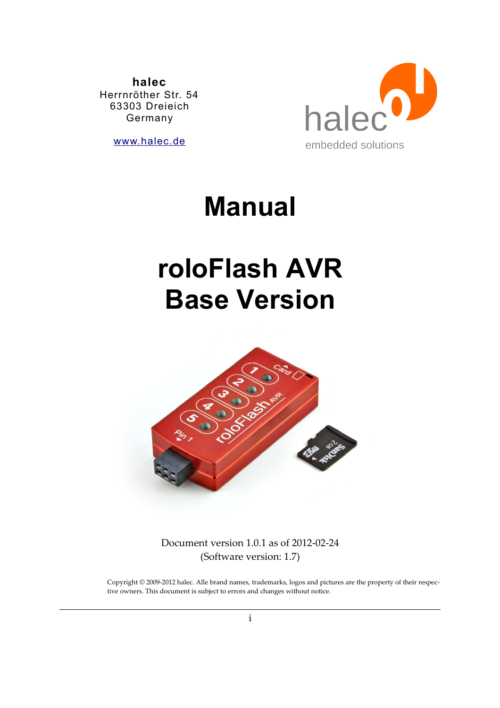**halec** Herrnröther Str. 54 63303 Dreieich Germany

[www.halec.de](http://www.halec.de/)



# **Manual**

# **roloFlash AVR Base Version**



Document version 1.0.1 as of 2012-02-24 (Software version: 1.7)

Copyright © 2009-2012 halec. Alle brand names, trademarks, logos and pictures are the property of their respective owners. This document is subject to errors and changes without notice.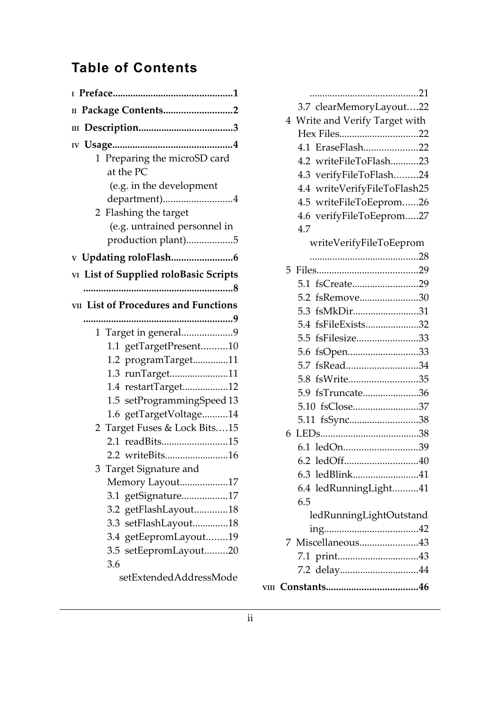# **Table of Contents**

| II Package Contents2                                                                                                                                                                                                                                                                                                                                                                                                           |
|--------------------------------------------------------------------------------------------------------------------------------------------------------------------------------------------------------------------------------------------------------------------------------------------------------------------------------------------------------------------------------------------------------------------------------|
|                                                                                                                                                                                                                                                                                                                                                                                                                                |
| 1 Preparing the microSD card<br>at the PC<br>(e.g. in the development<br>department)4<br>2 Flashing the target                                                                                                                                                                                                                                                                                                                 |
| (e.g. untrained personnel in                                                                                                                                                                                                                                                                                                                                                                                                   |
| production plant)5                                                                                                                                                                                                                                                                                                                                                                                                             |
|                                                                                                                                                                                                                                                                                                                                                                                                                                |
| VI List of Supplied roloBasic Scripts                                                                                                                                                                                                                                                                                                                                                                                          |
|                                                                                                                                                                                                                                                                                                                                                                                                                                |
| <b>vII</b> List of Procedures and Functions                                                                                                                                                                                                                                                                                                                                                                                    |
| 1 Target in general9<br>1.1 getTargetPresent10<br>1.2 programTarget11<br>1.3 runTarget11<br>1.4 restartTarget12<br>1.5 setProgrammingSpeed 13<br>1.6 getTargetVoltage14<br>2 Target Fuses & Lock Bits15<br>2.1 readBits15<br>2.2 writeBits16<br>Target Signature and<br>3<br>Memory Layout17<br>3.1 getSignature17<br>3.2 getFlashLayout18<br>setFlashLayout18<br>3.3<br>3.4 getEepromLayout19<br>3.5 setEepromLayout20<br>3.6 |
| setExtendedAddressMode                                                                                                                                                                                                                                                                                                                                                                                                         |

|   | 3.7 clearMemoryLayout22        |  |
|---|--------------------------------|--|
|   | 4 Write and Verify Target with |  |
|   | Hex Files22                    |  |
|   | 4.1 EraseFlash22               |  |
|   | 4.2 writeFileToFlash23         |  |
|   | 4.3 verifyFileToFlash24        |  |
|   | 4.4 writeVerifyFileToFlash25   |  |
|   | 4.5 writeFileToEeprom26        |  |
|   | 4.6 verifyFileToEeprom27       |  |
|   | 4.7                            |  |
|   | writeVerifyFileToEeprom        |  |
|   |                                |  |
|   |                                |  |
|   | 5.1 fsCreate29                 |  |
|   | 5.2 fsRemove30                 |  |
|   | 5.3 fsMkDir31                  |  |
|   | 5.4 fsFileExists32             |  |
|   | 5.5 fsFilesize33               |  |
|   | 5.6 fsOpen33                   |  |
|   | 5.7 fsRead34                   |  |
|   | 5.8 fsWrite35                  |  |
|   | 5.9 fsTruncate36               |  |
|   | 5.10 fsClose37                 |  |
|   | 5.11 fsSync38                  |  |
| 6 |                                |  |
|   | 6.1 ledOn39                    |  |
|   | 6.2 ledOff40                   |  |
|   | 6.3 ledBlink41                 |  |
|   | 6.4 ledRunningLight41<br>6.5   |  |
|   | ledRunningLightOutstand        |  |
|   |                                |  |
|   | 7 Miscellaneous43              |  |
|   |                                |  |
|   | 7.2 delay44                    |  |
|   |                                |  |
|   |                                |  |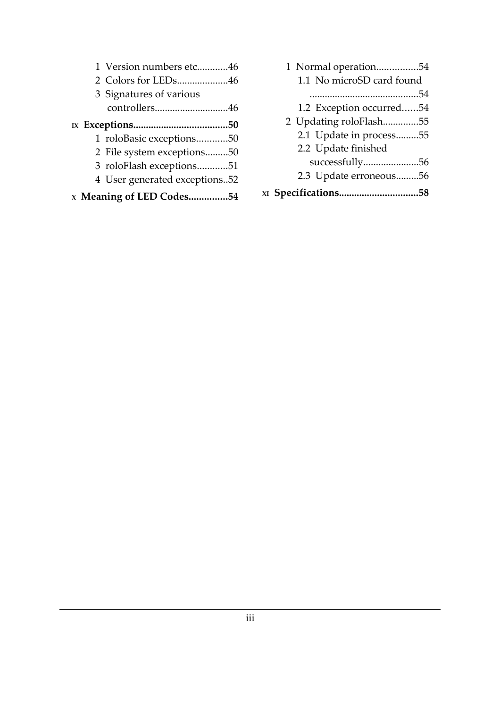| 1 Version numbers etc46       |  |
|-------------------------------|--|
| 2 Colors for LEDs46           |  |
| 3 Signatures of various       |  |
| controllers46                 |  |
|                               |  |
| 1 roloBasic exceptions50      |  |
| 2 File system exceptions50    |  |
| 3 roloFlash exceptions51      |  |
| 4 User generated exceptions52 |  |
| x Meaning of LED Codes54      |  |

| 1 Normal operation54      |  |
|---------------------------|--|
| 1.1 No microSD card found |  |
|                           |  |
| 1.2 Exception occurred54  |  |
| 2 Updating roloFlash55    |  |
| 2.1 Update in process55   |  |
| 2.2 Update finished       |  |
| successfully56            |  |
| 2.3 Update erroneous56    |  |
| x1 Specifications58       |  |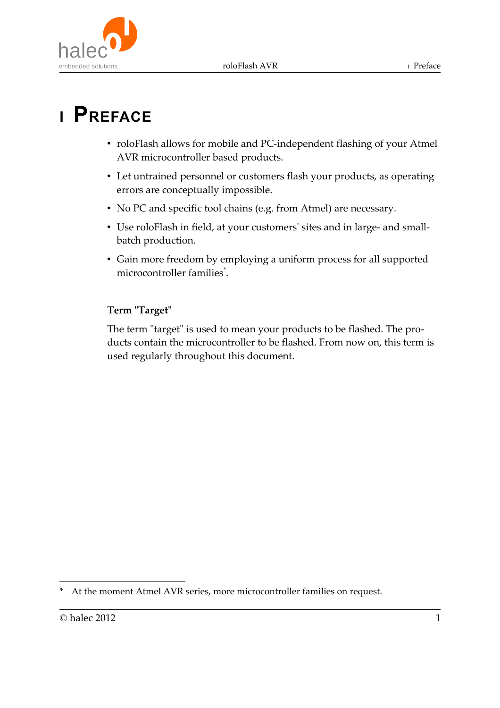

# **<sup>I</sup> PREFACE**

- roloFlash allows for mobile and PC-independent flashing of your Atmel AVR microcontroller based products.
- Let untrained personnel or customers flash your products, as operating errors are conceptually impossible.
- No PC and specific tool chains (e.g. from Atmel) are necessary.
- Use roloFlash in field, at your customers' sites and in large- and smallbatch production.
- Gain more freedom by employing a uniform process for all supported microcontroller families<sup>[\\*](#page-3-0)</sup>.

### **Term "Target"**

The term "target" is used to mean your products to be flashed. The products contain the microcontroller to be flashed. From now on, this term is used regularly throughout this document.

<span id="page-3-0"></span>At the moment Atmel AVR series, more microcontroller families on request.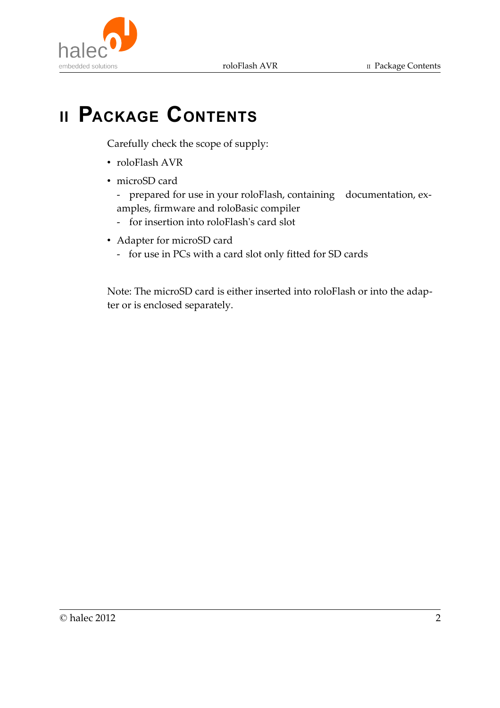

# **II PACKAGE CONTENTS**

Carefully check the scope of supply:

- roloFlash AVR
- microSD card

- prepared for use in your roloFlash, containing documentation, examples, firmware and roloBasic compiler

- for insertion into roloFlash's card slot
- Adapter for microSD card
	- for use in PCs with a card slot only fitted for SD cards

Note: The microSD card is either inserted into roloFlash or into the adapter or is enclosed separately.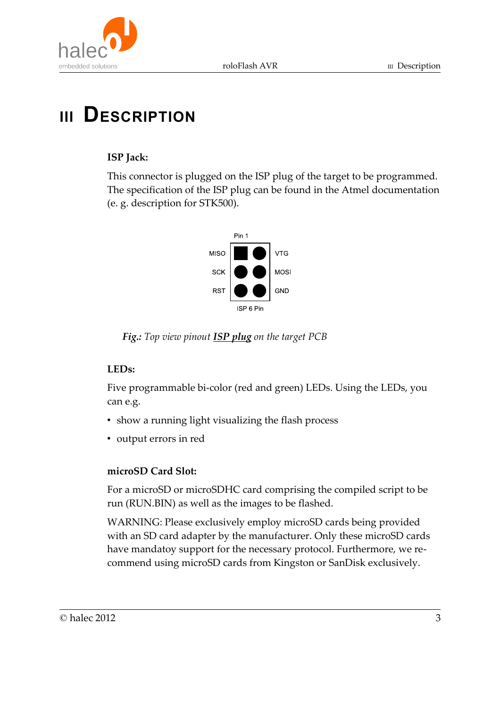



# **III DESCRIPTION**

### **ISP Jack:**

This connector is plugged on the ISP plug of the target to be programmed. The specification of the ISP plug can be found in the Atmel documentation (e. g. description for STK500).



 *Fig.: Top view pinout ISP plug on the target PCB*

### **LEDs:**

Five programmable bi-color (red and green) LEDs. Using the LEDs, you can e.g.

- show a running light visualizing the flash process
- output errors in red

### **microSD Card Slot:**

For a microSD or microSDHC card comprising the compiled script to be run (RUN.BIN) as well as the images to be flashed.

WARNING: Please exclusively employ microSD cards being provided with an SD card adapter by the manufacturer. Only these microSD cards have mandatoy support for the necessary protocol. Furthermore, we recommend using microSD cards from Kingston or SanDisk exclusively.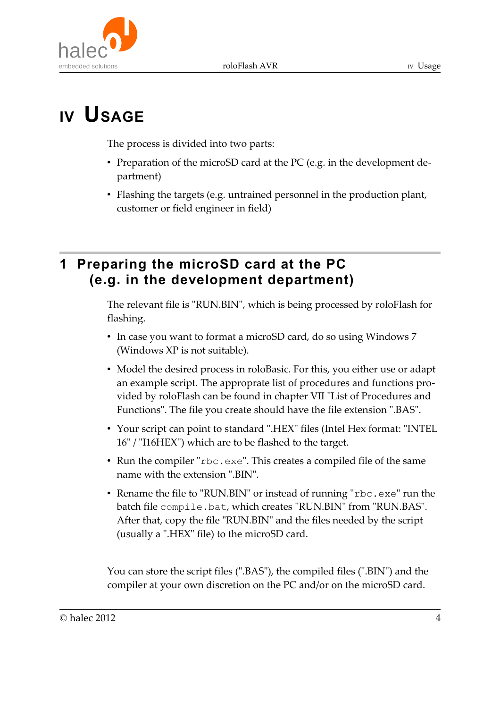



The process is divided into two parts:

- Preparation of the microSD card at the PC (e.g. in the development department)
- Flashing the targets (e.g. untrained personnel in the production plant, customer or field engineer in field)

# **1 Preparing the microSD card at the PC (e.g. in the development department)**

The relevant file is "RUN.BIN", which is being processed by roloFlash for flashing.

- In case you want to format a microSD card, do so using Windows 7 (Windows XP is not suitable).
- Model the desired process in roloBasic. For this, you either use or adapt an example script. The approprate list of procedures and functions provided by roloFlash can be found in chapter VII "List of Procedures and Functions". The file you create should have the file extension ".BAS".
- Your script can point to standard ".HEX" files (Intel Hex format: "INTEL 16" / "I16HEX") which are to be flashed to the target.
- Run the compiler "rbc.exe". This creates a compiled file of the same name with the extension ".BIN".
- Rename the file to "RUN.BIN" or instead of running "rbc.exe" run the batch file compile.bat, which creates "RUN.BIN" from "RUN.BAS". After that, copy the file "RUN.BIN" and the files needed by the script (usually a ".HEX" file) to the microSD card.

You can store the script files (".BAS"), the compiled files (".BIN") and the compiler at your own discretion on the PC and/or on the microSD card.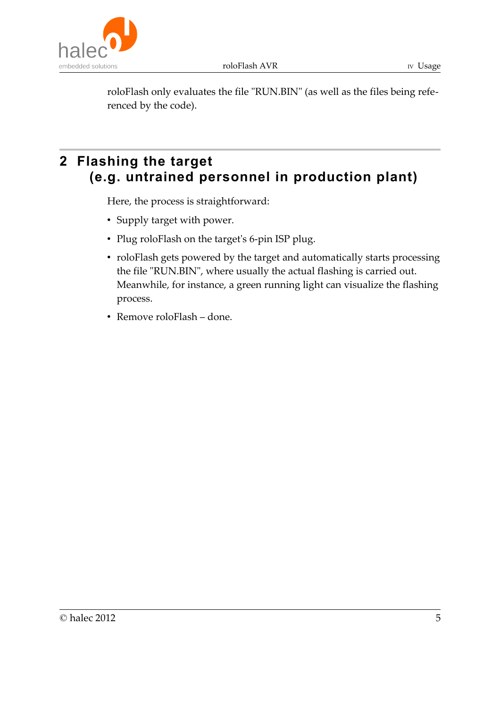roloFlash AVR IV Usage



roloFlash only evaluates the file "RUN.BIN" (as well as the files being referenced by the code).

# **2 Flashing the target (e.g. untrained personnel in production plant)**

Here, the process is straightforward:

- Supply target with power.
- Plug roloFlash on the target's 6-pin ISP plug.
- roloFlash gets powered by the target and automatically starts processing the file "RUN.BIN", where usually the actual flashing is carried out. Meanwhile, for instance, a green running light can visualize the flashing process.
- Remove roloFlash done.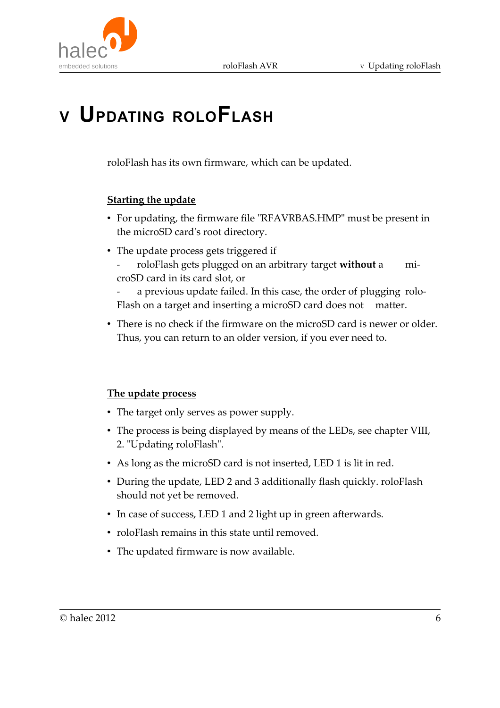

# **<sup>V</sup> UPDATING ROLOFLASH**

roloFlash has its own firmware, which can be updated.

#### **Starting the update**

- For updating, the firmware file "RFAVRBAS.HMP" must be present in the microSD card's root directory.
- The update process gets triggered if - roloFlash gets plugged on an arbitrary target **without** a microSD card in its card slot, or

a previous update failed. In this case, the order of plugging rolo-Flash on a target and inserting a microSD card does not matter.

• There is no check if the firmware on the microSD card is newer or older. Thus, you can return to an older version, if you ever need to.

#### **The update process**

- The target only serves as power supply.
- The process is being displayed by means of the LEDs, see chapter VIII, 2. "Updating roloFlash".
- As long as the microSD card is not inserted, LED 1 is lit in red.
- During the update, LED 2 and 3 additionally flash quickly. roloFlash should not yet be removed.
- In case of success, LED 1 and 2 light up in green afterwards.
- roloFlash remains in this state until removed.
- The updated firmware is now available.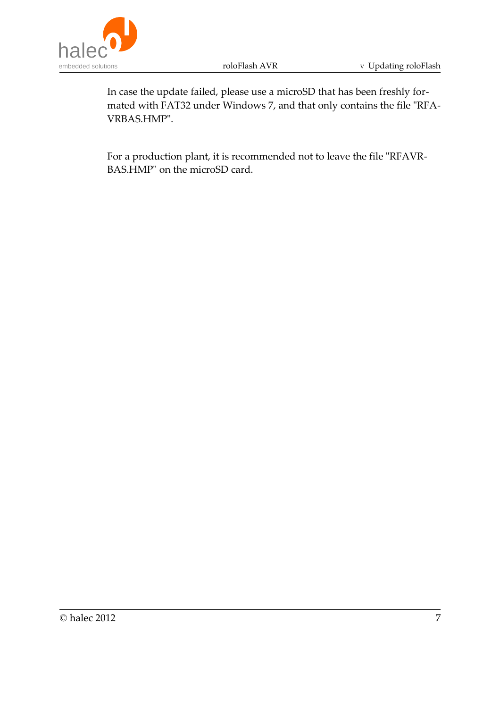

In case the update failed, please use a microSD that has been freshly formated with FAT32 under Windows 7, and that only contains the file "RFA-VRBAS.HMP".

For a production plant, it is recommended not to leave the file "RFAVR-BAS.HMP" on the microSD card.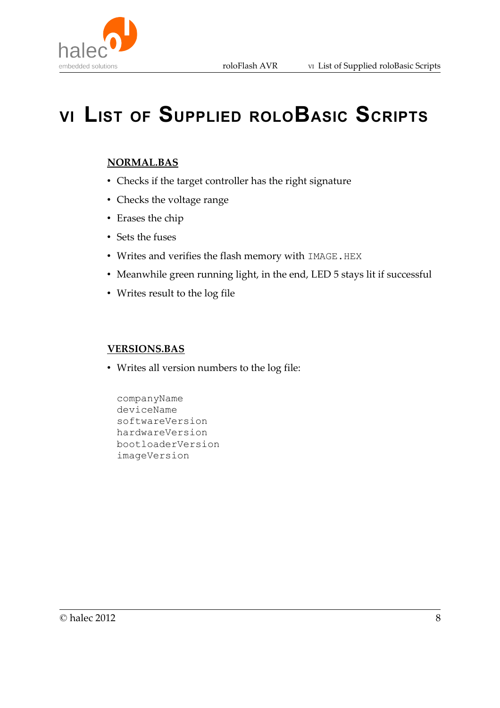

# **VI LIST OF SUPPLIED ROLOBASIC SCRIPTS**

#### **NORMAL.BAS**

- Checks if the target controller has the right signature
- Checks the voltage range
- Erases the chip
- Sets the fuses
- Writes and verifies the flash memory with IMAGE.HEX
- Meanwhile green running light, in the end, LED 5 stays lit if successful
- Writes result to the log file

#### **VERSIONS.BAS**

• Writes all version numbers to the log file:

companyName deviceName softwareVersion hardwareVersion bootloaderVersion imageVersion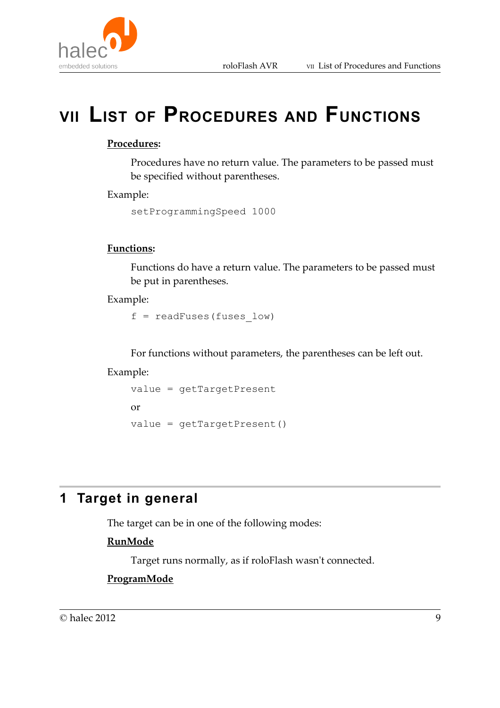# **VII LIST OF PROCEDURES AND FUNCTIONS**

#### **Procedures:**

Procedures have no return value. The parameters to be passed must be specified without parentheses.

#### Example:

setProgrammingSpeed 1000

#### **Functions:**

Functions do have a return value. The parameters to be passed must be put in parentheses.

#### Example:

 $f = readFuses(fuses low)$ 

For functions without parameters, the parentheses can be left out.

#### Example:

```
value = getTargetPresent
or 
value = getTargetPresent()
```
# **1 Target in general**

The target can be in one of the following modes:

#### **RunMode**

Target runs normally, as if roloFlash wasn't connected.

#### **ProgramMode**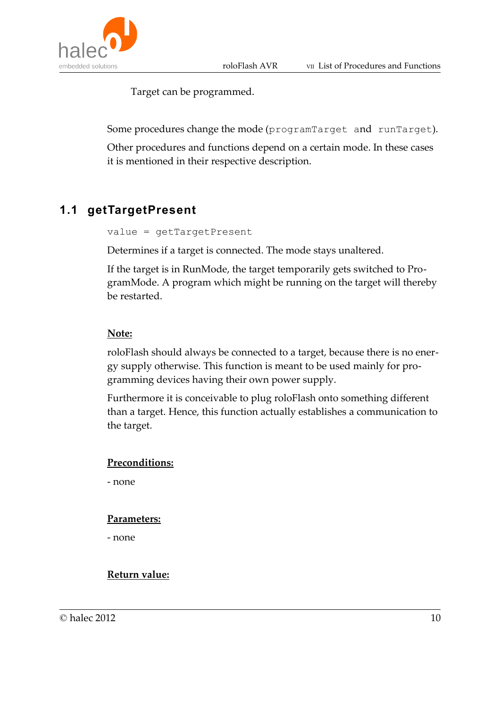

Target can be programmed.

Some procedures change the mode (programTarget and runTarget).

Other procedures and functions depend on a certain mode. In these cases it is mentioned in their respective description.

## **1.1 getTargetPresent**

```
value = getTargetPresent
```
Determines if a target is connected. The mode stays unaltered.

If the target is in RunMode, the target temporarily gets switched to ProgramMode. A program which might be running on the target will thereby be restarted.

#### **Note:**

roloFlash should always be connected to a target, because there is no energy supply otherwise. This function is meant to be used mainly for programming devices having their own power supply.

Furthermore it is conceivable to plug roloFlash onto something different than a target. Hence, this function actually establishes a communication to the target.

#### **Preconditions:**

- none

#### **Parameters:**

- none

#### **Return value:**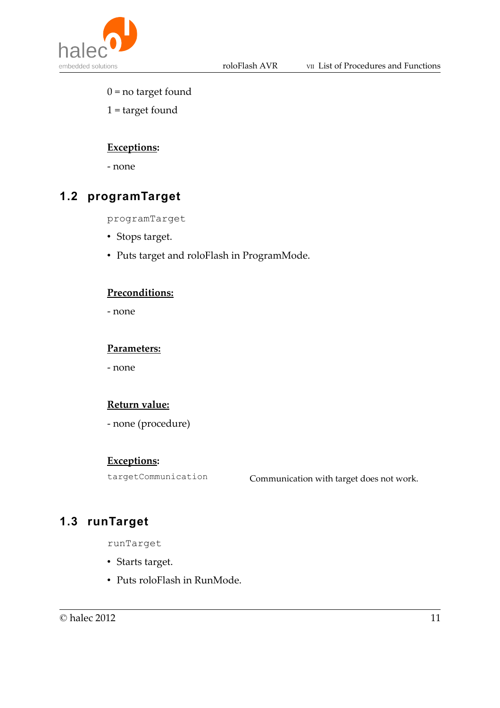

- $0 = no target found$
- 1 = target found

### **Exceptions:**

- none

# **1.2 programTarget**

programTarget

- Stops target.
- Puts target and roloFlash in ProgramMode.

#### **Preconditions:**

- none

#### **Parameters:**

- none

### **Return value:**

- none (procedure)

#### **Exceptions:**

targetCommunication Communication with target does not work.

# **1.3 runTarget**

runTarget

- Starts target.
- Puts roloFlash in RunMode.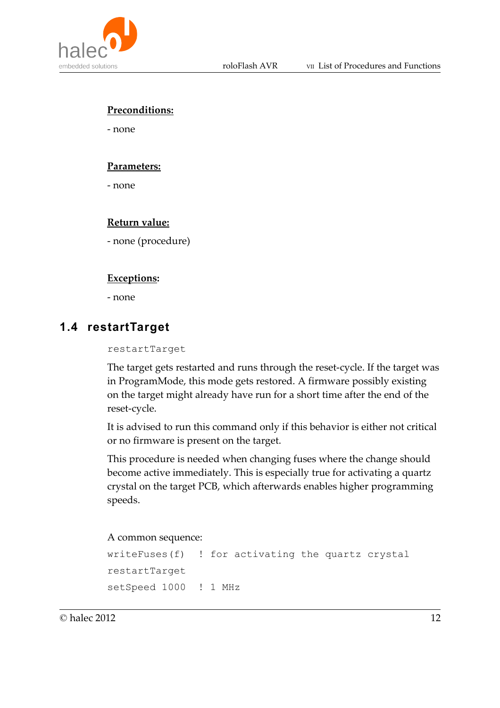

#### **Preconditions:**

- none

#### **Parameters:**

- none

#### **Return value:**

- none (procedure)

#### **Exceptions:**

- none

## **1.4 restartTarget**

#### restartTarget

The target gets restarted and runs through the reset-cycle. If the target was in ProgramMode, this mode gets restored. A firmware possibly existing on the target might already have run for a short time after the end of the reset-cycle.

It is advised to run this command only if this behavior is either not critical or no firmware is present on the target.

This procedure is needed when changing fuses where the change should become active immediately. This is especially true for activating a quartz crystal on the target PCB, which afterwards enables higher programming speeds.

#### A common sequence:

```
writeFuses(f) ! for activating the quartz crystal
restartTarget
setSpeed 1000 ! 1 MHz
```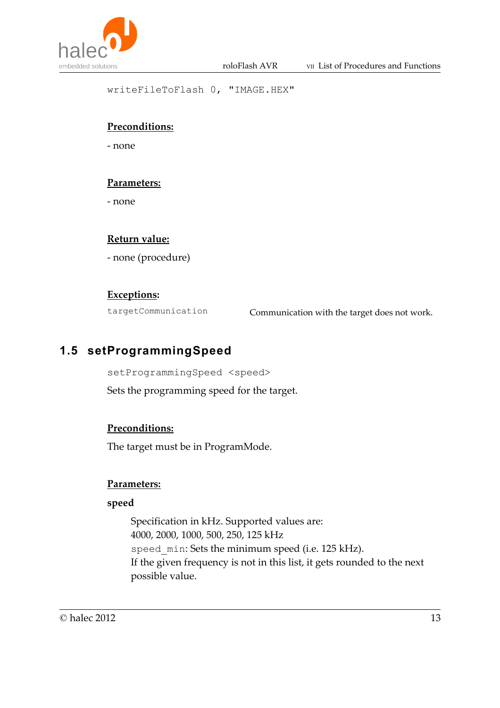

writeFileToFlash 0, "IMAGE.HEX"

### **Preconditions:**

- none

#### **Parameters:**

- none

#### **Return value:**

- none (procedure)

#### **Exceptions:**

targetCommunication Communication with the target does not work.

# **1.5 setProgrammingSpeed**

setProgrammingSpeed <speed>

Sets the programming speed for the target.

#### **Preconditions:**

The target must be in ProgramMode.

#### **Parameters:**

#### **speed**

Specification in kHz. Supported values are: 4000, 2000, 1000, 500, 250, 125 kHz speed min: Sets the minimum speed (i.e. 125 kHz). If the given frequency is not in this list, it gets rounded to the next possible value.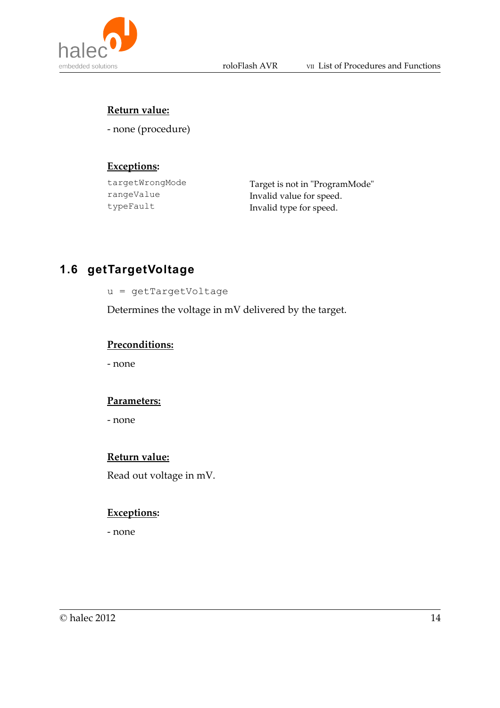

#### **Return value:**

- none (procedure)

#### **Exceptions:**

targetWrongMode Target is not in "ProgramMode" rangeValue Invalid value for speed. typeFault Invalid type for speed.

# **1.6 getTargetVoltage**

u = getTargetVoltage

Determines the voltage in mV delivered by the target.

#### **Preconditions:**

- none

#### **Parameters:**

- none

#### **Return value:**

Read out voltage in mV.

#### **Exceptions:**

- none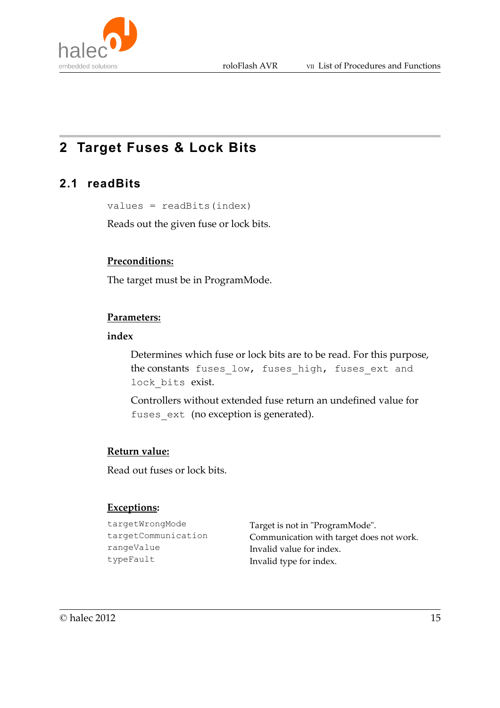

# **2 Target Fuses & Lock Bits**

## **2.1 readBits**

values = readBits(index)

Reads out the given fuse or lock bits.

#### **Preconditions:**

The target must be in ProgramMode.

#### **Parameters:**

#### **index**

Determines which fuse or lock bits are to be read. For this purpose, the constants fuses\_low, fuses\_high, fuses\_ext and lock bits exist.

Controllers without extended fuse return an undefined value for fuses ext (no exception is generated).

#### **Return value:**

Read out fuses or lock bits.

#### **Exceptions:**

```
targetWrongMode Target is not in "ProgramMode".
targetCommunication Communication with target does not work.
rangeValue Invalid value for index.
typeFault Invalid type for index.
```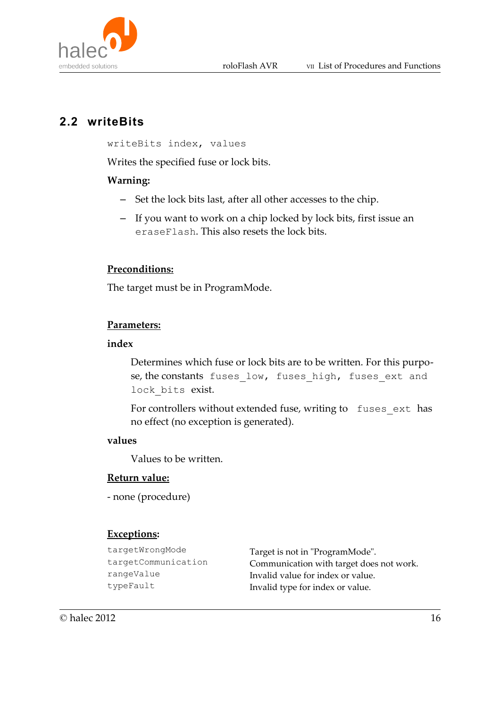

# **2.2 writeBits**

writeBits index, values

Writes the specified fuse or lock bits.

#### **Warning:**

- Set the lock bits last, after all other accesses to the chip.
- If you want to work on a chip locked by lock bits, first issue an eraseFlash. This also resets the lock bits.

#### **Preconditions:**

The target must be in ProgramMode.

#### **Parameters:**

#### **index**

Determines which fuse or lock bits are to be written. For this purpose, the constants fuses\_low, fuses\_high, fuses\_ext and lock bits exist.

For controllers without extended fuse, writing to fuses ext has no effect (no exception is generated).

#### **values**

Values to be written.

#### **Return value:**

```
- none (procedure)
```
#### **Exceptions:**

| Target is not in "ProgramMode".          |
|------------------------------------------|
| Communication with target does not work. |
| Invalid value for index or value.        |
| Invalid type for index or value.         |
|                                          |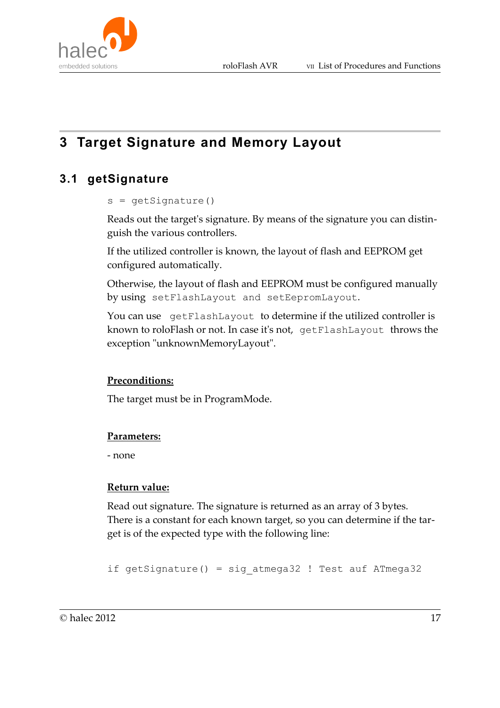

# **3 Target Signature and Memory Layout**

# **3.1 getSignature**

#### $s = qetsignature()$

Reads out the target's signature. By means of the signature you can distinguish the various controllers.

If the utilized controller is known, the layout of flash and EEPROM get configured automatically.

Otherwise, the layout of flash and EEPROM must be configured manually by using setFlashLayout and setEepromLayout.

You can use getFlashLayout to determine if the utilized controller is known to roloFlash or not. In case it's not, getFlashLayout throws the exception "unknownMemoryLayout".

#### **Preconditions:**

The target must be in ProgramMode.

#### **Parameters:**

- none

#### **Return value:**

Read out signature. The signature is returned as an array of 3 bytes. There is a constant for each known target, so you can determine if the target is of the expected type with the following line:

if getSignature() = sig\_atmega32 ! Test auf ATmega32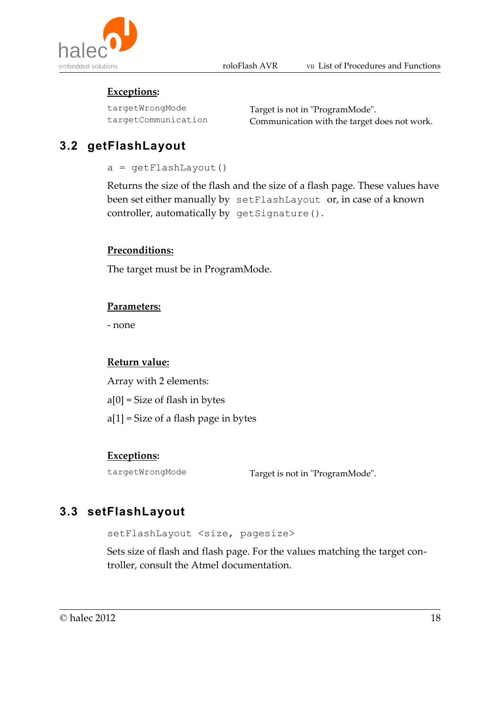

### **Exceptions:**

targetWrongMode Target is not in "ProgramMode". targetCommunication Communication with the target does not work.

# **3.2 getFlashLayout**

 $a = qetFlashLayout()$ 

Returns the size of the flash and the size of a flash page. These values have been set either manually by setFlashLayout or, in case of a known controller, automatically by getSignature().

### **Preconditions:**

The target must be in ProgramMode.

### **Parameters:**

- none

### **Return value:**

Array with 2 elements:  $a[0]$  = Size of flash in bytes a[1] = Size of a flash page in bytes

## **Exceptions:**

targetWrongMode Target is not in "ProgramMode".

# **3.3 setFlashLayout**

setFlashLayout <size, pagesize>

Sets size of flash and flash page. For the values matching the target controller, consult the Atmel documentation.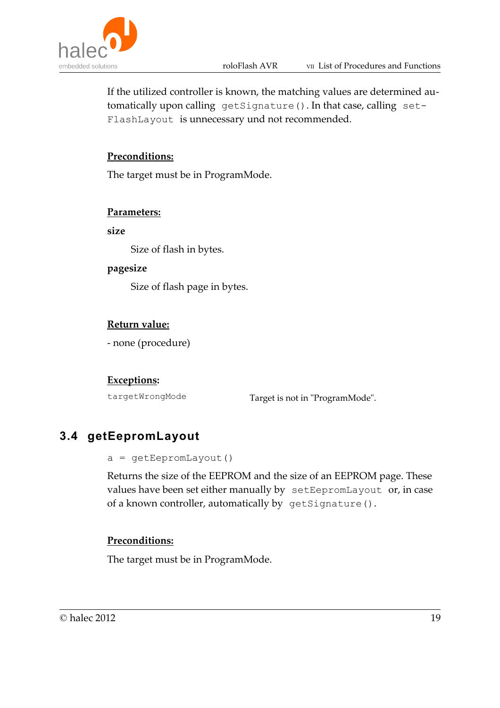

If the utilized controller is known, the matching values are determined automatically upon calling getSignature(). In that case, calling set-FlashLayout is unnecessary und not recommended.

#### **Preconditions:**

The target must be in ProgramMode.

#### **Parameters:**

**size**

Size of flash in bytes.

#### **pagesize**

Size of flash page in bytes.

#### **Return value:**

- none (procedure)

#### **Exceptions:**

targetWrongMode Target is not in "ProgramMode".

## **3.4 getEepromLayout**

```
a = getEepromLayout()
```
Returns the size of the EEPROM and the size of an EEPROM page. These values have been set either manually by setEepromLayout or, in case of a known controller, automatically by getSignature().

#### **Preconditions:**

The target must be in ProgramMode.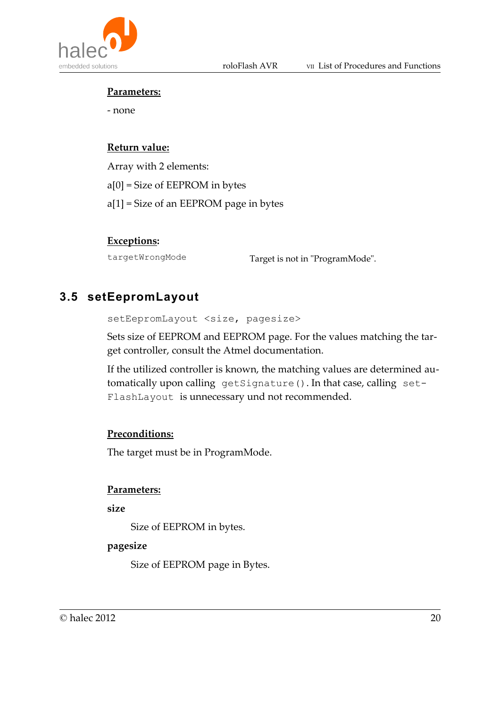

#### **Parameters:**

- none

#### **Return value:**

Array with 2 elements: a[0] = Size of EEPROM in bytes a[1] = Size of an EEPROM page in bytes

#### **Exceptions:**

targetWrongMode Target is not in "ProgramMode".

## **3.5 setEepromLayout**

setEepromLayout <size, pagesize>

Sets size of EEPROM and EEPROM page. For the values matching the target controller, consult the Atmel documentation.

If the utilized controller is known, the matching values are determined automatically upon calling getSignature(). In that case, calling set-FlashLayout is unnecessary und not recommended.

#### **Preconditions:**

The target must be in ProgramMode.

#### **Parameters:**

**size**

Size of EEPROM in bytes.

#### **pagesize**

Size of EEPROM page in Bytes.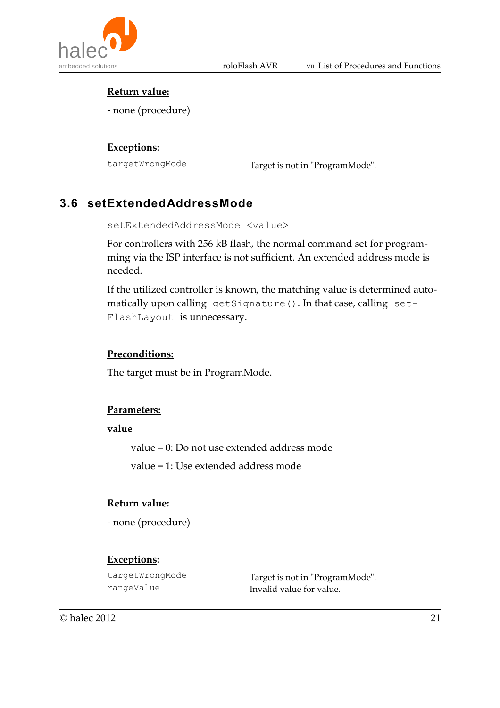

#### **Return value:**

- none (procedure)

#### **Exceptions:**

targetWrongMode Target is not in "ProgramMode".

# **3.6 setExtendedAddressMode**

setExtendedAddressMode <value>

For controllers with 256 kB flash, the normal command set for programming via the ISP interface is not sufficient. An extended address mode is needed.

If the utilized controller is known, the matching value is determined automatically upon calling getSignature(). In that case, calling set-FlashLayout is unnecessary.

#### **Preconditions:**

The target must be in ProgramMode.

#### **Parameters:**

**value**

value = 0: Do not use extended address mode

value = 1: Use extended address mode

#### **Return value:**

- none (procedure)

#### **Exceptions:**

targetWrongMode Target is not in "ProgramMode". rangeValue Invalid value for value.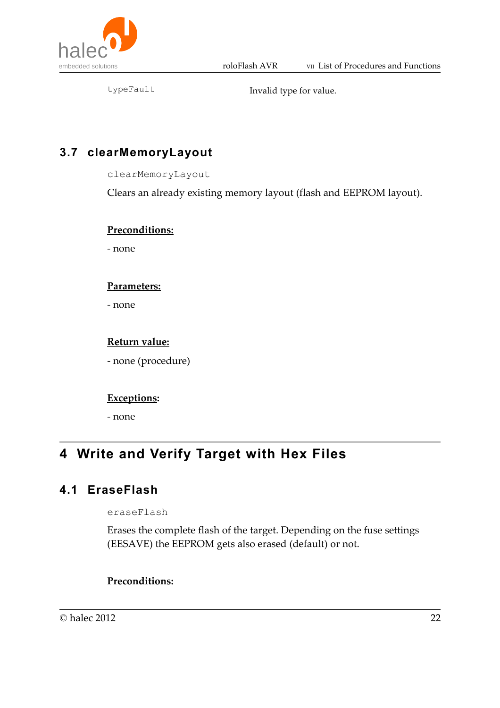

typeFault Invalid type for value.

## **3.7 clearMemoryLayout**

clearMemoryLayout

Clears an already existing memory layout (flash and EEPROM layout).

#### **Preconditions:**

- none

#### **Parameters:**

- none

#### **Return value:**

- none (procedure)

#### **Exceptions:**

- none

# **4 Write and Verify Target with Hex Files**

## **4.1 EraseFlash**

eraseFlash

Erases the complete flash of the target. Depending on the fuse settings (EESAVE) the EEPROM gets also erased (default) or not.

#### **Preconditions:**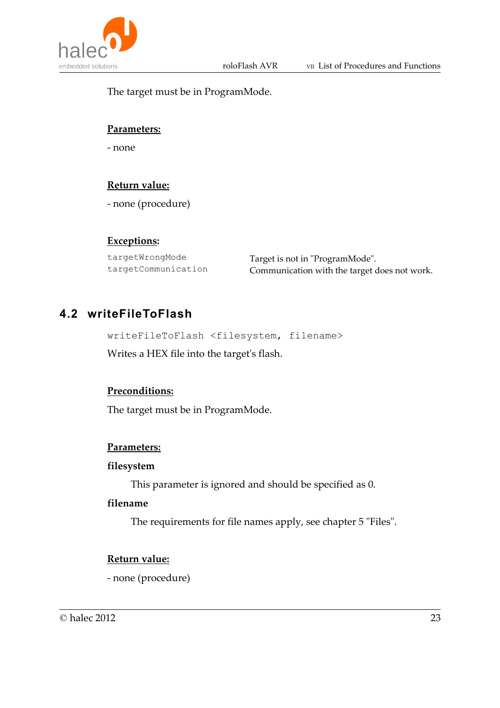

The target must be in ProgramMode.

#### **Parameters:**

- none

### **Return value:**

- none (procedure)

#### **Exceptions:**

targetWrongMode Target is not in "ProgramMode". targetCommunication Communication with the target does not work.

## **4.2 writeFileToFlash**

writeFileToFlash <filesystem, filename>

Writes a HEX file into the target's flash.

#### **Preconditions:**

The target must be in ProgramMode.

#### **Parameters:**

#### **filesystem**

This parameter is ignored and should be specified as 0.

#### **filename**

The requirements for file names apply, see chapter 5 "Files".

#### **Return value:**

- none (procedure)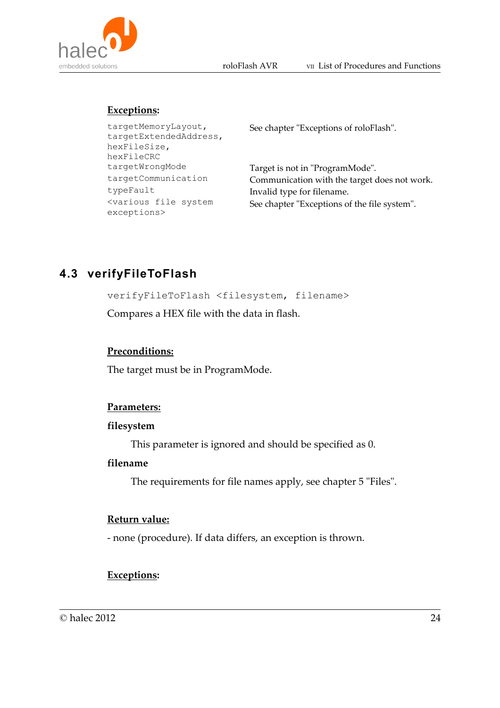

### **Exceptions:**

| See chapter "Exceptions of roloFlash".       |
|----------------------------------------------|
| Target is not in "ProgramMode".              |
| Communication with the target does not work. |
| Invalid type for filename.                   |
| See chapter "Exceptions of the file system". |
|                                              |

# **4.3 verifyFileToFlash**

verifyFileToFlash <filesystem, filename>

Compares a HEX file with the data in flash.

#### **Preconditions:**

The target must be in ProgramMode.

#### **Parameters:**

#### **filesystem**

This parameter is ignored and should be specified as 0.

#### **filename**

The requirements for file names apply, see chapter 5 "Files".

#### **Return value:**

- none (procedure). If data differs, an exception is thrown.

#### **Exceptions:**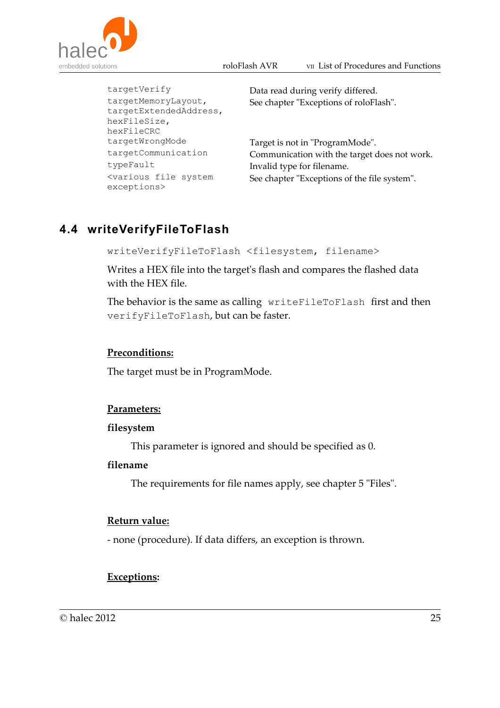



targetVerify Data read during verify differed. targetMemoryLayout, targetExtendedAddress, hexFileSize, hexFileCRC See chapter "Exceptions of roloFlash". targetWrongMode Target is not in "ProgramMode". targetCommunication Communication with the target does not work. typeFault Invalid type for filename. <various file system exceptions> See chapter "Exceptions of the file system".

# **4.4 writeVerifyFileToFlash**

writeVerifyFileToFlash <filesystem, filename>

Writes a HEX file into the target's flash and compares the flashed data with the HEX file.

The behavior is the same as calling writeFileToFlash first and then verifyFileToFlash, but can be faster.

#### **Preconditions:**

The target must be in ProgramMode.

#### **Parameters:**

#### **filesystem**

This parameter is ignored and should be specified as 0.

#### **filename**

The requirements for file names apply, see chapter 5 "Files".

#### **Return value:**

- none (procedure). If data differs, an exception is thrown.

#### **Exceptions:**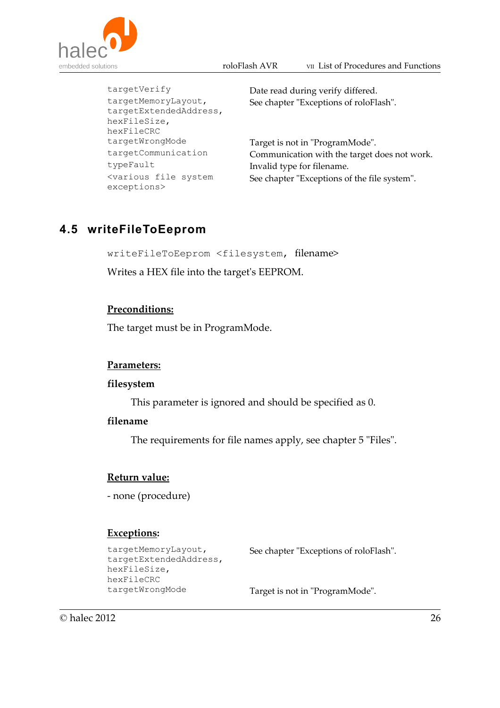



targetMemoryLayout, targetExtendedAddress, hexFileSize, hexFileCRC targetWrongMode Target is not in "ProgramMode". typeFault Invalid type for filename. <various file system exceptions>

targetVerify Date read during verify differed. See chapter "Exceptions of roloFlash".

targetCommunication Communication with the target does not work. See chapter "Exceptions of the file system".

## **4.5 writeFileToEeprom**

writeFileToEeprom <filesystem, filename>

Writes a HEX file into the target's EEPROM.

#### **Preconditions:**

The target must be in ProgramMode.

#### **Parameters:**

#### **filesystem**

This parameter is ignored and should be specified as 0.

#### **filename**

The requirements for file names apply, see chapter 5 "Files".

#### **Return value:**

- none (procedure)

#### **Exceptions:**

```
targetMemoryLayout,
targetExtendedAddress,
hexFileSize,
hexFileCRC
```
See chapter "Exceptions of roloFlash".

targetWrongMode Target is not in "ProgramMode".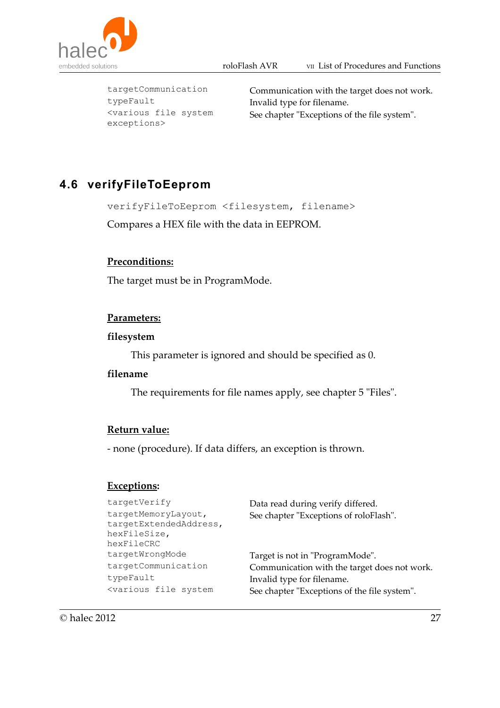



typeFault Invalid type for filename. <various file system exceptions>

targetCommunication Communication with the target does not work. See chapter "Exceptions of the file system".

# **4.6 verifyFileToEeprom**

verifyFileToEeprom <filesystem, filename>

Compares a HEX file with the data in EEPROM.

#### **Preconditions:**

The target must be in ProgramMode.

#### **Parameters:**

#### **filesystem**

This parameter is ignored and should be specified as 0.

#### **filename**

The requirements for file names apply, see chapter 5 "Files".

#### **Return value:**

- none (procedure). If data differs, an exception is thrown.

#### **Exceptions:**

| targetVerify                                                                                      | Data read during verify differed.            |
|---------------------------------------------------------------------------------------------------|----------------------------------------------|
| targetMemoryLayout,<br>targetExtendedAddress,<br>hexFileSize,<br>hexFileCRC                       | See chapter "Exceptions of roloFlash".       |
| targetWrongMode                                                                                   | Target is not in "ProgramMode".              |
| targetCommunication                                                                               | Communication with the target does not work. |
| typeFault                                                                                         | Invalid type for filename.                   |
| <various file="" system<="" td=""><td>See chapter "Exceptions of the file system".</td></various> | See chapter "Exceptions of the file system". |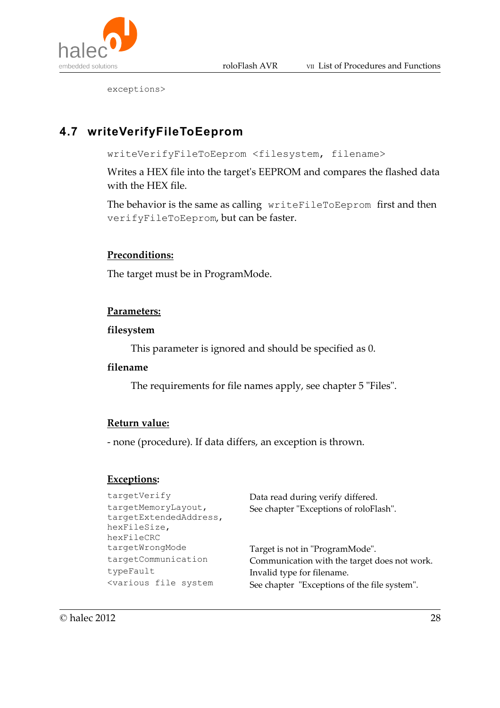

exceptions>

# **4.7 writeVerifyFileToEeprom**

writeVerifyFileToEeprom <filesystem, filename>

Writes a HEX file into the target's EEPROM and compares the flashed data with the HEX file.

The behavior is the same as calling writeFileToEeprom first and then verifyFileToEeprom, but can be faster.

#### **Preconditions:**

The target must be in ProgramMode.

#### **Parameters:**

#### **filesystem**

This parameter is ignored and should be specified as 0.

#### **filename**

The requirements for file names apply, see chapter 5 "Files".

#### **Return value:**

- none (procedure). If data differs, an exception is thrown.

### **Exceptions:**

| targetVerify                                                                                      | Data read during verify differed.            |
|---------------------------------------------------------------------------------------------------|----------------------------------------------|
| targetMemoryLayout,<br>targetExtendedAddress,                                                     | See chapter "Exceptions of roloFlash".       |
| hexFileSize,                                                                                      |                                              |
| hexFileCRC                                                                                        |                                              |
| targetWrongMode                                                                                   | Target is not in "ProgramMode".              |
| targetCommunication                                                                               | Communication with the target does not work. |
| typeFault                                                                                         | Invalid type for filename.                   |
| <various file="" system<="" td=""><td>See chapter "Exceptions of the file system".</td></various> | See chapter "Exceptions of the file system". |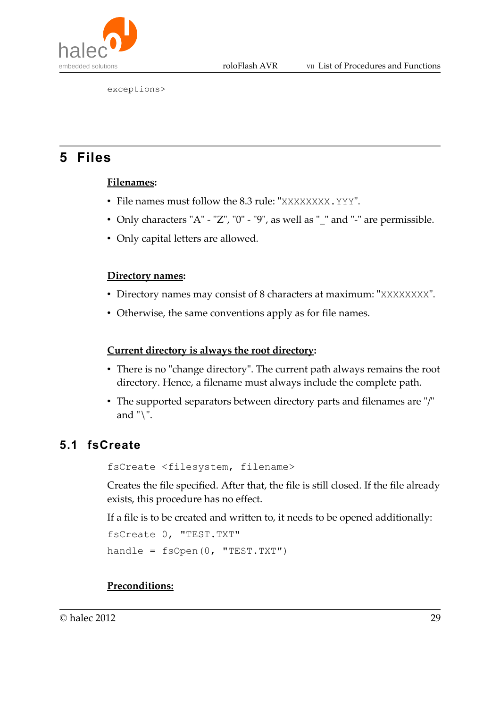

exceptions>

# **5 Files**

### **Filenames:**

- File names must follow the 8.3 rule: "XXXXXXXX. YYY".
- Only characters "A" "Z", "0" "9", as well as "\_" and "-" are permissible.
- Only capital letters are allowed.

### **Directory names:**

- Directory names may consist of 8 characters at maximum: "XXXXXXXX".
- Otherwise, the same conventions apply as for file names.

### **Current directory is always the root directory:**

- There is no "change directory". The current path always remains the root directory. Hence, a filename must always include the complete path.
- The supported separators between directory parts and filenames are "/" and " $\Upsilon$ ".

# **5.1 fsCreate**

fsCreate <filesystem, filename>

Creates the file specified. After that, the file is still closed. If the file already exists, this procedure has no effect.

If a file is to be created and written to, it needs to be opened additionally:

```
fsCreate 0, "TEST.TXT"
handle = fsOpen(0, "TEST.TXT")
```
### **Preconditions:**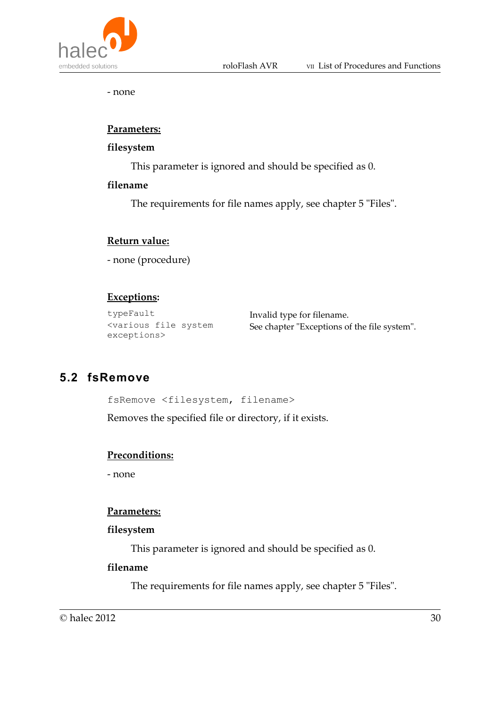- none

#### **Parameters:**

#### **filesystem**

This parameter is ignored and should be specified as 0.

#### **filename**

The requirements for file names apply, see chapter 5 "Files".

#### **Return value:**

- none (procedure)

#### **Exceptions:**

```
typeFault Invalid type for filename.
<various file system
exceptions>
```
See chapter "Exceptions of the file system".

## **5.2 fsRemove**

fsRemove <filesystem, filename>

Removes the specified file or directory, if it exists.

#### **Preconditions:**

- none

#### **Parameters:**

#### **filesystem**

This parameter is ignored and should be specified as 0.

#### **filename**

The requirements for file names apply, see chapter 5 "Files".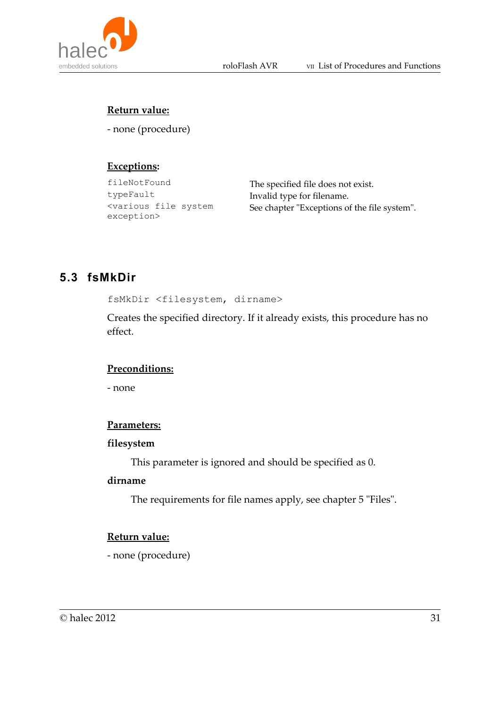

### **Return value:**

- none (procedure)

### **Exceptions:**

typeFault Invalid type for filename. <various file system exception>

fileNotFound The specified file does not exist. See chapter "Exceptions of the file system".

# **5.3 fsMkDir**

fsMkDir <filesystem, dirname>

Creates the specified directory. If it already exists, this procedure has no effect.

#### **Preconditions:**

- none

#### **Parameters:**

#### **filesystem**

This parameter is ignored and should be specified as 0.

#### **dirname**

The requirements for file names apply, see chapter 5 "Files".

#### **Return value:**

- none (procedure)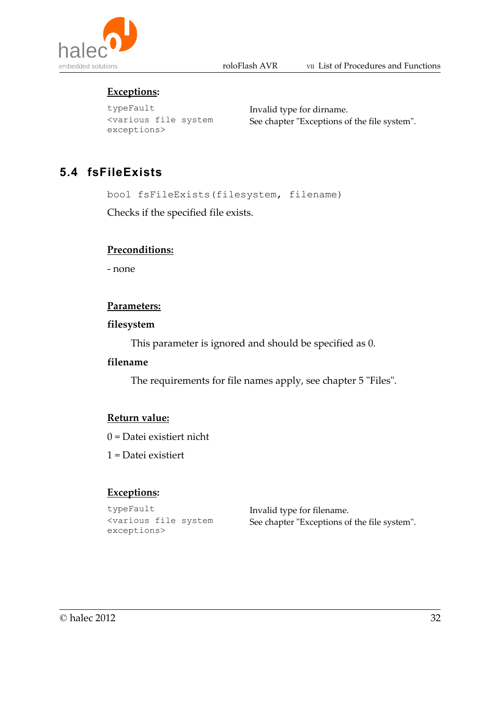

### **Exceptions:**

typeFault Invalid type for dirname. <various file system exceptions>

See chapter "Exceptions of the file system".

# **5.4 fsFileExists**

bool fsFileExists(filesystem, filename)

Checks if the specified file exists.

#### **Preconditions:**

- none

#### **Parameters:**

#### **filesystem**

This parameter is ignored and should be specified as 0.

#### **filename**

The requirements for file names apply, see chapter 5 "Files".

#### **Return value:**

- 0 = Datei existiert nicht
- 1 = Datei existiert

#### **Exceptions:**

typeFault Invalid type for filename. <various file system exceptions>

See chapter "Exceptions of the file system".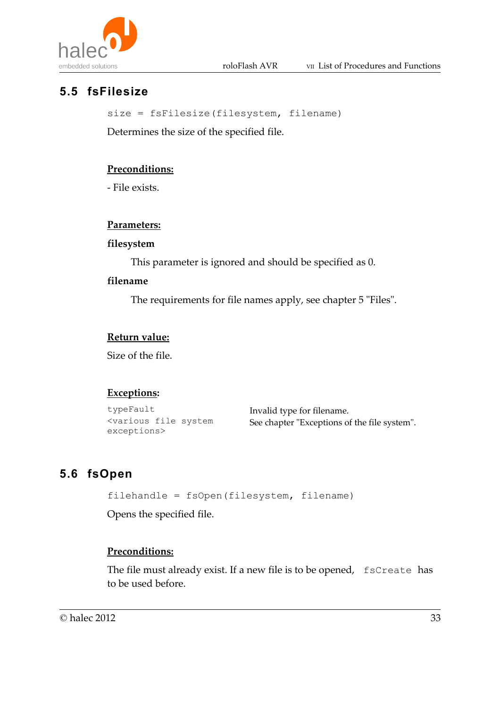



# **5.5 fsFilesize**

size = fsFilesize(filesystem, filename)

Determines the size of the specified file.

### **Preconditions:**

- File exists.

#### **Parameters:**

#### **filesystem**

This parameter is ignored and should be specified as 0.

#### **filename**

The requirements for file names apply, see chapter 5 "Files".

#### **Return value:**

Size of the file.

### **Exceptions:**

typeFault Invalid type for filename. <various file system exceptions>

See chapter "Exceptions of the file system".

# **5.6 fsOpen**

```
filehandle = fsOpen(filesystem, filename)
```
Opens the specified file.

### **Preconditions:**

The file must already exist. If a new file is to be opened, fsCreate has to be used before.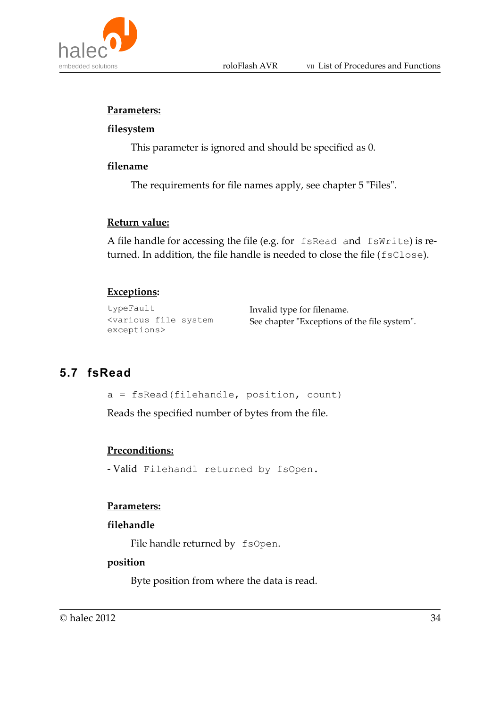



#### **Parameters:**

#### **filesystem**

This parameter is ignored and should be specified as 0.

#### **filename**

The requirements for file names apply, see chapter 5 "Files".

#### **Return value:**

A file handle for accessing the file (e.g. for fsRead and fsWrite) is returned. In addition, the file handle is needed to close the file (fsClose).

#### **Exceptions:**

typeFault Invalid type for filename. <various file system exceptions>

See chapter "Exceptions of the file system".

# **5.7 fsRead**

a = fsRead(filehandle, position, count)

Reads the specified number of bytes from the file.

#### **Preconditions:**

- Valid Filehandl returned by fsOpen.

#### **Parameters:**

#### **filehandle**

File handle returned by fsOpen.

#### **position**

Byte position from where the data is read.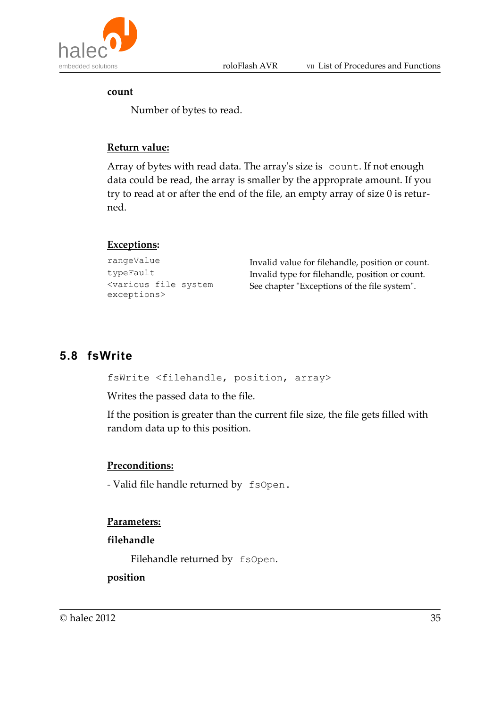

#### **count**

Number of bytes to read.

#### **Return value:**

Array of bytes with read data. The array's size is count. If not enough data could be read, the array is smaller by the approprate amount. If you try to read at or after the end of the file, an empty array of size 0 is returned.

#### **Exceptions:**

```
rangeValue Invalid value for filehandle, position or count.
typeFault Invalid type for filehandle, position or count.
<various file system
exceptions>
```
# See chapter "Exceptions of the file system".

### **5.8 fsWrite**

fsWrite <filehandle, position, array>

Writes the passed data to the file.

If the position is greater than the current file size, the file gets filled with random data up to this position.

#### **Preconditions:**

- Valid file handle returned by fsOpen.

#### **Parameters:**

#### **filehandle**

Filehandle returned by fsOpen.

**position**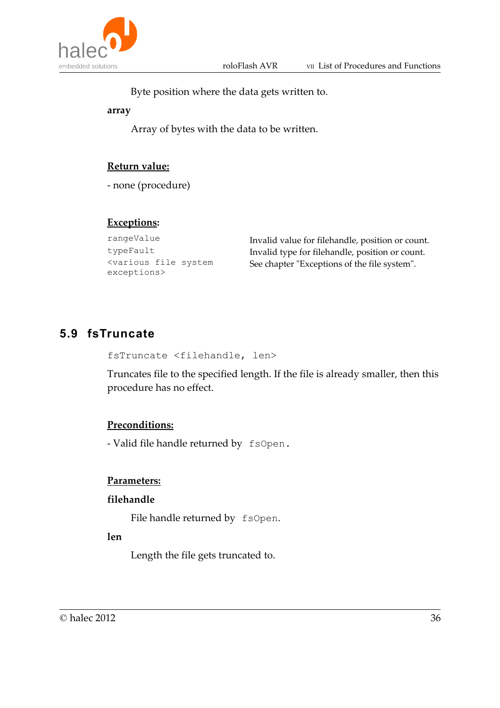



Byte position where the data gets written to.

**array**

Array of bytes with the data to be written.

#### **Return value:**

- none (procedure)

#### **Exceptions:**

<various file system exceptions>

rangeValue Invalid value for filehandle, position or count. typeFault Invalid type for filehandle, position or count. See chapter "Exceptions of the file system".

## **5.9 fsTruncate**

```
fsTruncate <filehandle, len>
```
Truncates file to the specified length. If the file is already smaller, then this procedure has no effect.

#### **Preconditions:**

- Valid file handle returned by fsOpen.

#### **Parameters:**

#### **filehandle**

File handle returned by fsOpen.

#### **len**

Length the file gets truncated to.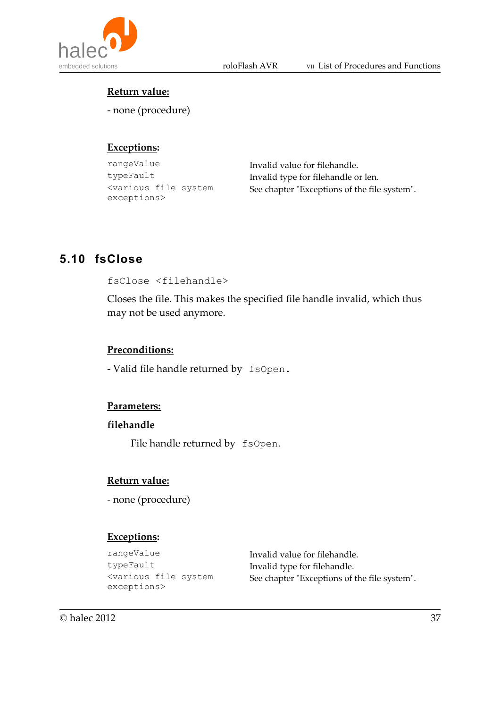



#### **Return value:**

- none (procedure)

### **Exceptions:**

```
rangeValue Invalid value for filehandle.
<various file system
exceptions>
```
typeFault Invalid type for filehandle or len. See chapter "Exceptions of the file system".

# **5.10 fsClose**

fsClose <filehandle>

Closes the file. This makes the specified file handle invalid, which thus may not be used anymore.

#### **Preconditions:**

- Valid file handle returned by fsOpen.

#### **Parameters:**

#### **filehandle**

File handle returned by fsOpen.

#### **Return value:**

- none (procedure)

### **Exceptions:**

| rangeValue                                                                                        | Invalid value for filehandle.                |
|---------------------------------------------------------------------------------------------------|----------------------------------------------|
| typeFault                                                                                         | Invalid type for filehandle.                 |
| <various file="" system<="" td=""><td>See chapter "Exceptions of the file system".</td></various> | See chapter "Exceptions of the file system". |
| exceptions>                                                                                       |                                              |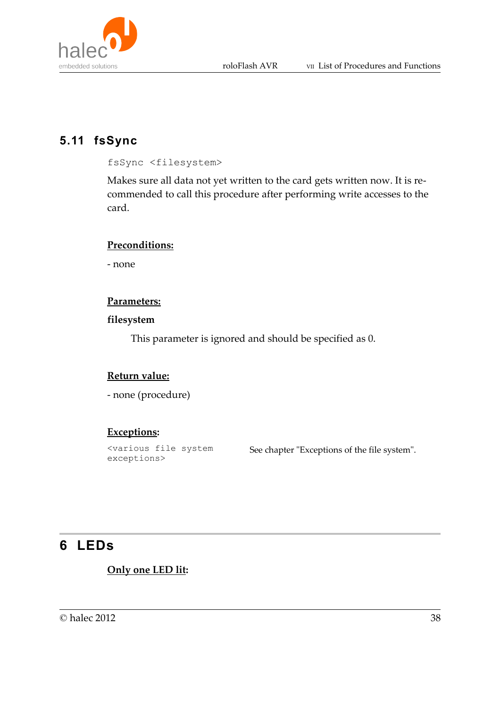

## **5.11 fsSync**

fsSync <filesystem>

Makes sure all data not yet written to the card gets written now. It is recommended to call this procedure after performing write accesses to the card.

#### **Preconditions:**

- none

#### **Parameters:**

#### **filesystem**

This parameter is ignored and should be specified as 0.

#### **Return value:**

- none (procedure)

#### **Exceptions:**

<various file system exceptions>

See chapter "Exceptions of the file system".

# **6 LEDs**

#### **Only one LED lit:**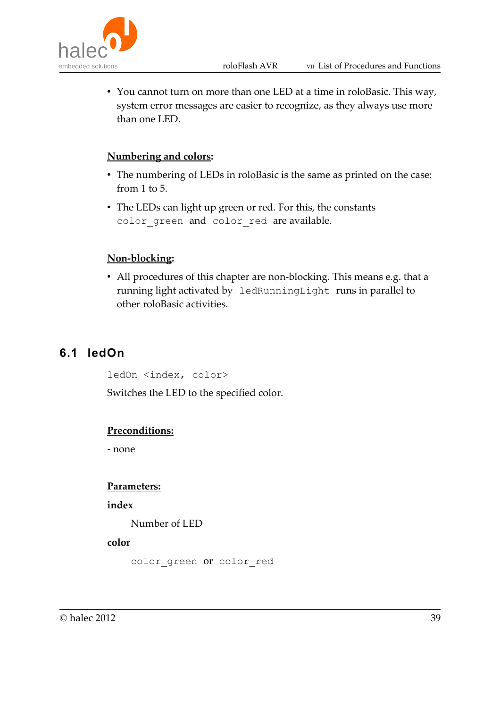

• You cannot turn on more than one LED at a time in roloBasic. This way, system error messages are easier to recognize, as they always use more than one LED.

### **Numbering and colors:**

- The numbering of LEDs in roloBasic is the same as printed on the case: from 1 to 5.
- The LEDs can light up green or red. For this, the constants color\_green and color\_red are available.

### **Non-blocking:**

• All procedures of this chapter are non-blocking. This means e.g. that a running light activated by ledRunningLight runs in parallel to other roloBasic activities.

## **6.1 ledOn**

ledOn <index, color>

Switches the LED to the specified color.

#### **Preconditions:**

- none

#### **Parameters:**

**index**

Number of LED

#### **color**

```
color green or color red
```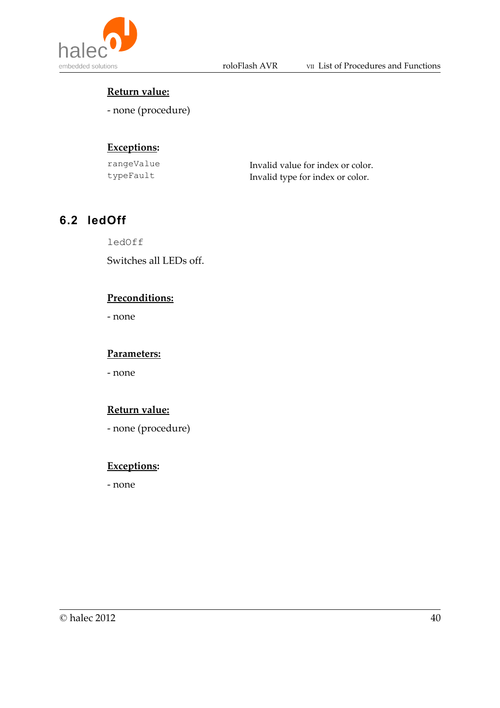

### **Return value:**

- none (procedure)

## **Exceptions:**

| rangeValue | Invalid value for index or color. |
|------------|-----------------------------------|
| typeFault  | Invalid type for index or color.  |

# **6.2 ledOff**

ledOff

Switches all LEDs off.

### **Preconditions:**

- none

#### **Parameters:**

- none

#### **Return value:**

- none (procedure)

### **Exceptions:**

- none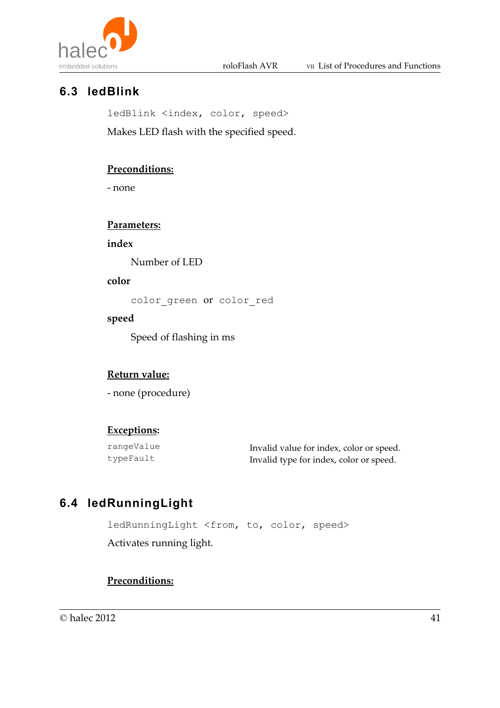

# **6.3 ledBlink**

ledBlink <index, color, speed>

Makes LED flash with the specified speed.

### **Preconditions:**

- none

#### **Parameters:**

**index**

Number of LED

#### **color**

color\_green or color\_red

#### **speed**

Speed of flashing in ms

### **Return value:**

- none (procedure)

#### **Exceptions:**

rangeValue Invalid value for index, color or speed. typeFault Invalid type for index, color or speed.

# **6.4 ledRunningLight**

ledRunningLight <from, to, color, speed> Activates running light.

#### **Preconditions:**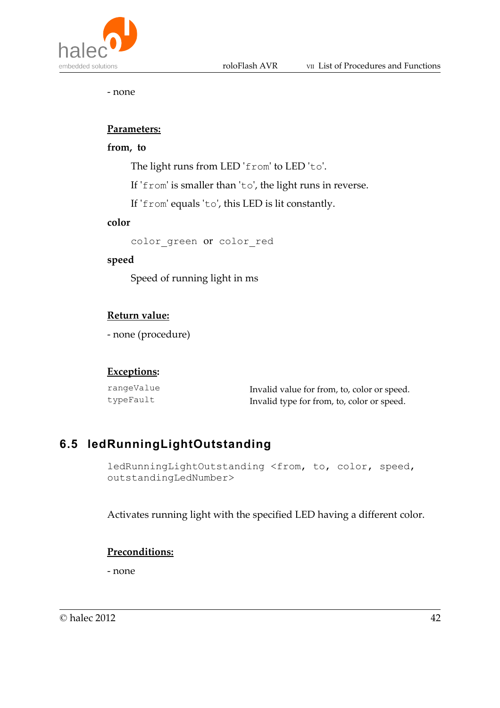

- none

#### **Parameters:**

#### **from, to**

The light runs from LED 'from' to LED 'to'.

If 'from' is smaller than 'to', the light runs in reverse.

If 'from' equals 'to', this LED is lit constantly.

#### **color**

color\_green or color\_red

#### **speed**

Speed of running light in ms

#### **Return value:**

- none (procedure)

#### **Exceptions:**

| rangeValue | Invalid value for from, to, color or speed. |
|------------|---------------------------------------------|
| typeFault  | Invalid type for from, to, color or speed.  |

# **6.5 ledRunningLightOutstanding**

ledRunningLightOutstanding <from, to, color, speed, outstandingLedNumber>

Activates running light with the specified LED having a different color.

#### **Preconditions:**

- none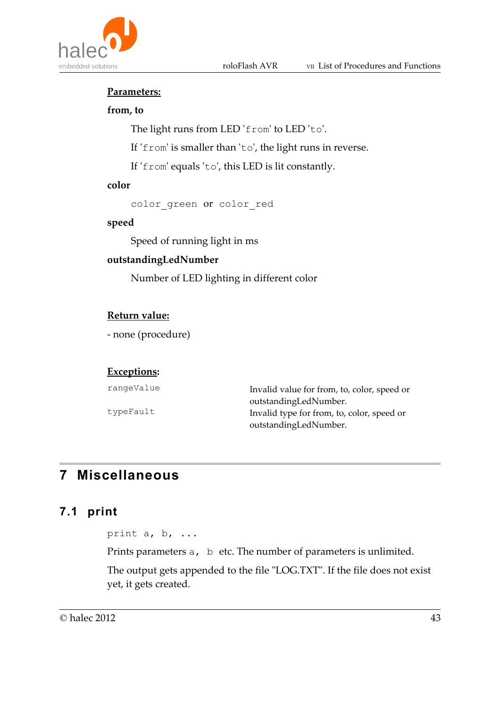

#### **Parameters:**

#### **from, to**

The light runs from LED 'from' to LED 'to'.

If 'from' is smaller than 'to', the light runs in reverse.

If 'from' equals 'to', this LED is lit constantly.

#### **color**

color green or color red

#### **speed**

Speed of running light in ms

#### **outstandingLedNumber**

Number of LED lighting in different color

#### **Return value:**

- none (procedure)

#### **Exceptions:**

| rangeValue | Invalid value for from, to, color, speed or |
|------------|---------------------------------------------|
|            | outstandingLedNumber.                       |
| typeFault  | Invalid type for from, to, color, speed or  |
|            | outstandingLedNumber.                       |

# **7 Miscellaneous**

### **7.1 print**

print a, b, ...

Prints parameters a, b etc. The number of parameters is unlimited.

The output gets appended to the file "LOG.TXT". If the file does not exist yet, it gets created.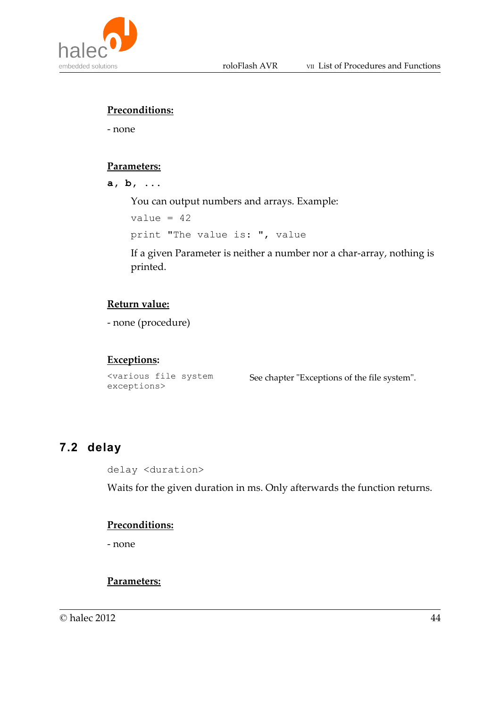

#### **Preconditions:**

- none

#### **Parameters:**

**a, b, ...**

You can output numbers and arrays. Example:

 $value = 42$ print "The value is: ", value

If a given Parameter is neither a number nor a char-array, nothing is printed.

### **Return value:**

- none (procedure)

#### **Exceptions:**

<various file system exceptions>

See chapter "Exceptions of the file system".

## **7.2 delay**

delay <duration>

Waits for the given duration in ms. Only afterwards the function returns.

#### **Preconditions:**

- none

### **Parameters:**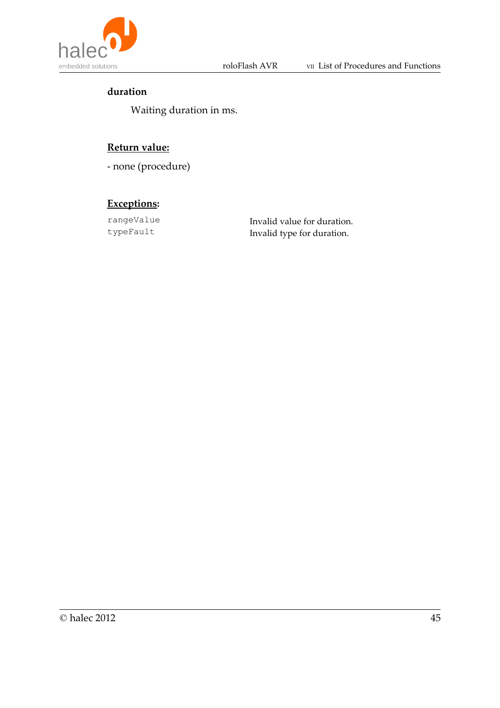

### **duration**

Waiting duration in ms.

### **Return value:**

- none (procedure)

### **Exceptions:**

rangeValue Invalid value for duration.<br>typeFault Invalid type for duration. Invalid type for duration.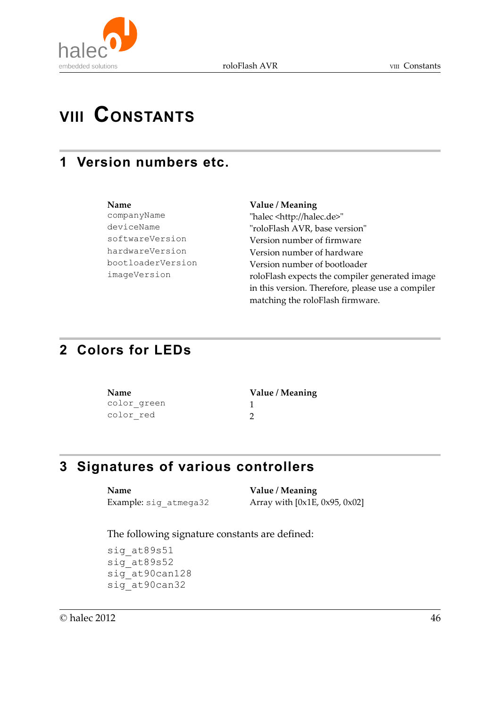

# **VIII CONSTANTS**

# **1 Version numbers etc.**

| Name              |
|-------------------|
| companyName       |
| deviceName        |
| softwareVersion   |
| hardwareVersion   |
| bootloaderVersior |
| imageVersion      |
|                   |

#### **Name Value / Meaning**

"halec <http://halec.de>" "roloFlash AVR, base version" Version number of firmware Version number of hardware n version number of bootloader roloFlash expects the compiler generated image in this version. Therefore, please use a compiler matching the roloFlash firmware.

# **2 Colors for LEDs**

| Name        | Value / Meaning |  |
|-------------|-----------------|--|
| color green |                 |  |
| color red   |                 |  |

# **3 Signatures of various controllers**

**Name Value / Meaning**

Example: sig  $atm$ ega32 Array with  $[0x1E, 0x95, 0x02]$ 

The following signature constants are defined:

sig\_at89s51 sig\_at89s52 sig at90can128 sig\_at90can32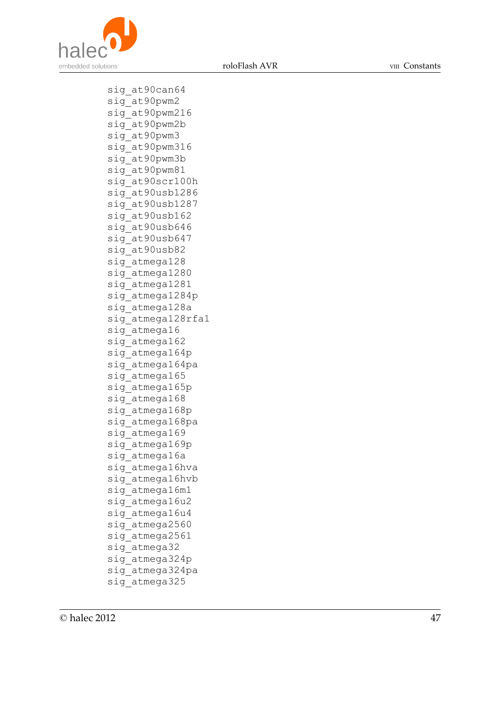

roloFlash AVR VIII Constants

sig\_at90can64 sig\_at90pwm2 sig\_at90pwm216 sig\_at90pwm2b sig\_at90pwm3 sig\_at90pwm316 sig\_at90pwm3b sig\_at90pwm81 sig\_at90scr100h sig\_at90usb1286 sig\_at90usb1287 sig\_at90usb162 sig\_at90usb646 sig\_at90usb647 sig\_at90usb82 sig atmega128 sig\_atmega1280 sig\_atmega1281 sig\_atmega1284p sig\_atmega128a sig atmega128rfa1 sig\_atmega16 sig atmega162 sig atmega164p sig\_atmega164pa sig atmega165 sig atmega165p sig atmega168 sig atmega168p sig atmega168pa sig\_atmega169 sig\_atmega169p sig\_atmega16a sig\_atmega16hva sig\_atmega16hvb sig\_atmega16m1 sig atmega16u2 sig atmega16u4 sig atmega2560 sig\_atmega2561 sig\_atmega32 sig\_atmega324p sig\_atmega324pa sig\_atmega325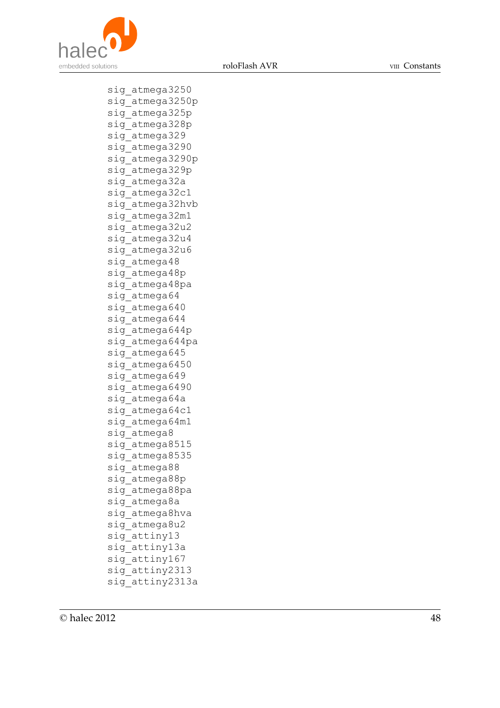

roloFlash AVR VIII Constants

sig\_atmega3250 sig\_atmega3250p sig\_atmega325p sig\_atmega328p sig\_atmega329 sig\_atmega3290 sig\_atmega3290p sig\_atmega329p sig\_atmega32a sig\_atmega32c1 sig\_atmega32hvb sig\_atmega32m1 sig\_atmega32u2 sig\_atmega32u4 sig\_atmega32u6 sig atmega48 sig atmega48p sig\_atmega48pa sig atmega64 sig atmega640 sig atmega644 sig\_atmega644p sig atmega644pa sig atmega645 sig atmega6450 sig atmega649 sig atmega6490 sig atmega64a sig atmega64c1 sig atmega64m1 sig atmega8 sig\_atmega8515 sig\_atmega8535 sig atmega88 sig\_atmega88p sig\_atmega88pa sig atmega8a sig\_atmega8hva sig atmega8u2 sig attiny13 sig\_attiny13a sig\_attiny167 sig\_attiny2313 sig\_attiny2313a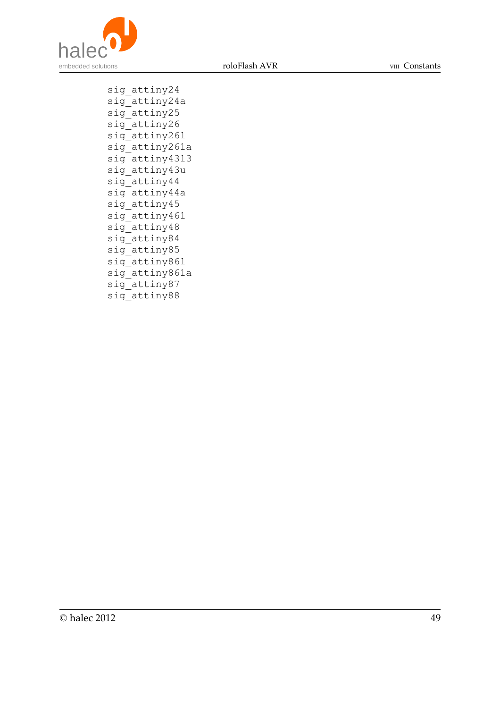

roloFlash AVR VIII Constants

sig\_attiny24 sig\_attiny24a sig\_attiny25 sig\_attiny26 sig\_attiny261 sig attiny261a sig\_attiny4313 sig\_attiny43u sig\_attiny44 sig\_attiny44a sig\_attiny45 sig attiny461 sig\_attiny48 sig\_attiny84 sig\_attiny85 sig\_attiny861 sig\_attiny861a sig attiny87 sig\_attiny88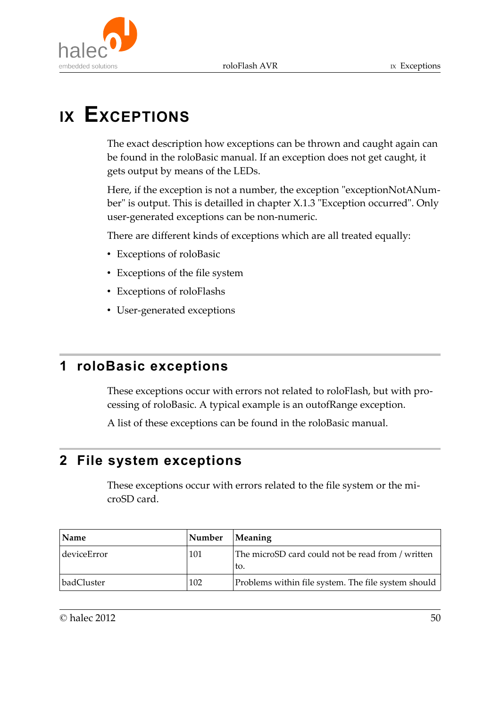

# **IX EXCEPTIONS**

The exact description how exceptions can be thrown and caught again can be found in the roloBasic manual. If an exception does not get caught, it gets output by means of the LEDs.

Here, if the exception is not a number, the exception "exceptionNotANumber" is output. This is detailled in chapter X.1.3 "Exception occurred". Only user-generated exceptions can be non-numeric.

There are different kinds of exceptions which are all treated equally:

- Exceptions of roloBasic
- Exceptions of the file system
- Exceptions of roloFlashs
- User-generated exceptions

# **1 roloBasic exceptions**

These exceptions occur with errors not related to roloFlash, but with processing of roloBasic. A typical example is an outofRange exception.

A list of these exceptions can be found in the roloBasic manual.

# **2 File system exceptions**

These exceptions occur with errors related to the file system or the microSD card.

| Name        | Number | <b>Meaning</b>                                           |
|-------------|--------|----------------------------------------------------------|
| deviceError | 101    | The microSD card could not be read from / written<br>to. |
| badCluster  | 102    | Problems within file system. The file system should      |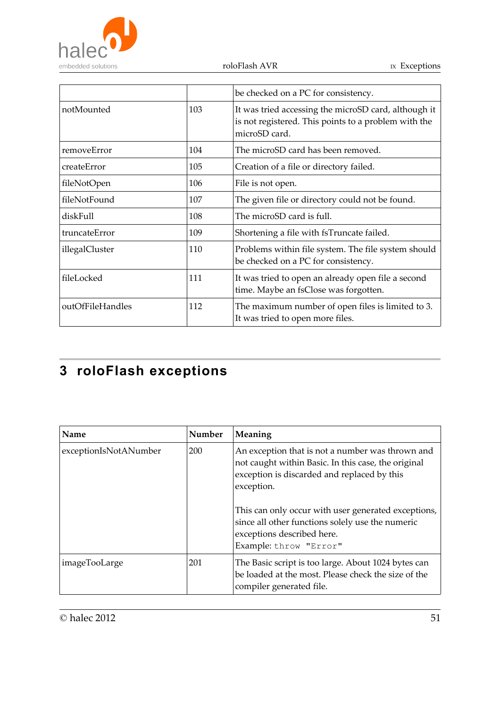

roloFlash AVR $\hfill$  <br/> IX Exceptions

|                  |     | be checked on a PC for consistency.                                                                                           |
|------------------|-----|-------------------------------------------------------------------------------------------------------------------------------|
| notMounted       | 103 | It was tried accessing the microSD card, although it<br>is not registered. This points to a problem with the<br>microSD card. |
| removeError      | 104 | The microSD card has been removed.                                                                                            |
| createError      | 105 | Creation of a file or directory failed.                                                                                       |
| fileNotOpen      | 106 | File is not open.                                                                                                             |
| fileNotFound     | 107 | The given file or directory could not be found.                                                                               |
| diskFull         | 108 | The microSD card is full.                                                                                                     |
| truncateError    | 109 | Shortening a file with fsTruncate failed.                                                                                     |
| illegalCluster   | 110 | Problems within file system. The file system should<br>be checked on a PC for consistency.                                    |
| fileLocked       | 111 | It was tried to open an already open file a second<br>time. Maybe an fsClose was forgotten.                                   |
| outOfFileHandles | 112 | The maximum number of open files is limited to 3.<br>It was tried to open more files.                                         |

# **3 roloFlash exceptions**

| Name                  | Number | Meaning                                                                                                                                                                                                                                                                                                                                 |
|-----------------------|--------|-----------------------------------------------------------------------------------------------------------------------------------------------------------------------------------------------------------------------------------------------------------------------------------------------------------------------------------------|
| exceptionIsNotANumber | 200    | An exception that is not a number was thrown and<br>not caught within Basic. In this case, the original<br>exception is discarded and replaced by this<br>exception.<br>This can only occur with user generated exceptions,<br>since all other functions solely use the numeric<br>exceptions described here.<br>Example: throw "Error" |
| imageTooLarge         | 201    | The Basic script is too large. About 1024 bytes can<br>be loaded at the most. Please check the size of the<br>compiler generated file.                                                                                                                                                                                                  |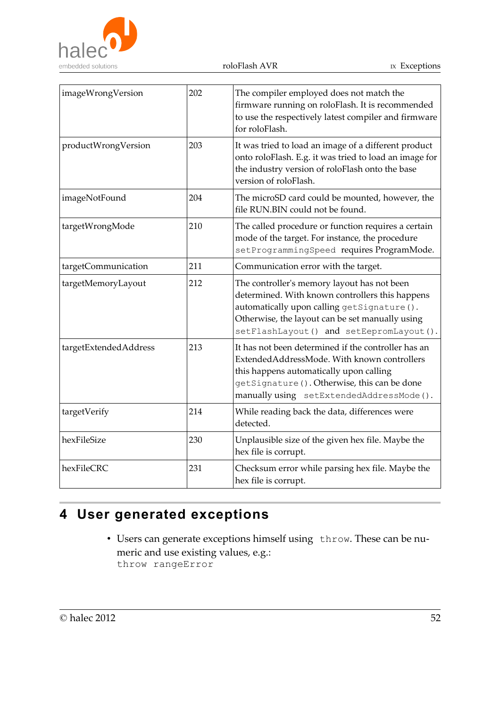

| imageWrongVersion     | 202 | The compiler employed does not match the<br>firmware running on roloFlash. It is recommended<br>to use the respectively latest compiler and firmware<br>for roloFlash.                                                                     |
|-----------------------|-----|--------------------------------------------------------------------------------------------------------------------------------------------------------------------------------------------------------------------------------------------|
| productWrongVersion   | 203 | It was tried to load an image of a different product<br>onto roloFlash. E.g. it was tried to load an image for<br>the industry version of roloFlash onto the base<br>version of roloFlash.                                                 |
| imageNotFound         | 204 | The microSD card could be mounted, however, the<br>file RUN.BIN could not be found.                                                                                                                                                        |
| targetWrongMode       | 210 | The called procedure or function requires a certain<br>mode of the target. For instance, the procedure<br>setProgrammingSpeed requires ProgramMode.                                                                                        |
| targetCommunication   | 211 | Communication error with the target.                                                                                                                                                                                                       |
| targetMemoryLayout    | 212 | The controller's memory layout has not been<br>determined. With known controllers this happens<br>automatically upon calling getSignature().<br>Otherwise, the layout can be set manually using<br>setFlashLayout() and setEepromLayout(). |
| targetExtendedAddress | 213 | It has not been determined if the controller has an<br>ExtendedAddressMode. With known controllers<br>this happens automatically upon calling<br>getSignature (). Otherwise, this can be done<br>manually using setExtendedAddressMode().  |
| targetVerify          | 214 | While reading back the data, differences were<br>detected.                                                                                                                                                                                 |
| hexFileSize           | 230 | Unplausible size of the given hex file. Maybe the<br>hex file is corrupt.                                                                                                                                                                  |
| hexFileCRC            | 231 | Checksum error while parsing hex file. Maybe the<br>hex file is corrupt.                                                                                                                                                                   |

# **4 User generated exceptions**

• Users can generate exceptions himself using throw. These can be numeric and use existing values, e.g.: throw rangeError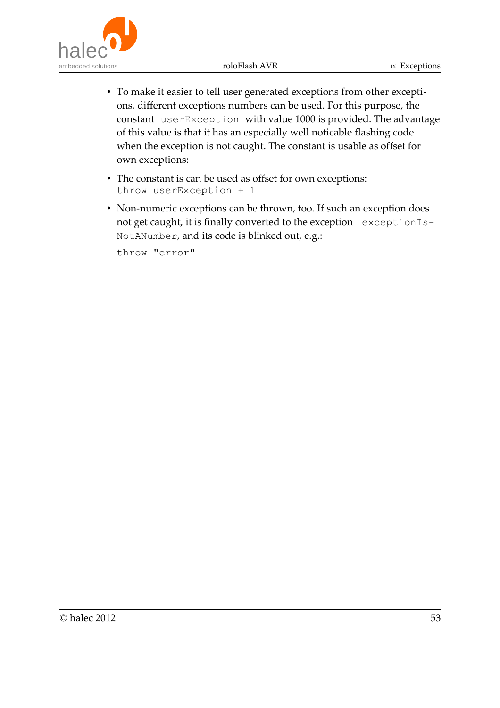roloFlash AVR IX Exceptions



- To make it easier to tell user generated exceptions from other exceptions, different exceptions numbers can be used. For this purpose, the constant userException with value 1000 is provided. The advantage of this value is that it has an especially well noticable flashing code when the exception is not caught. The constant is usable as offset for own exceptions:
- The constant is can be used as offset for own exceptions: throw userException + 1
- Non-numeric exceptions can be thrown, too. If such an exception does not get caught, it is finally converted to the exception exceptionIs-NotANumber, and its code is blinked out, e.g.:

throw "error"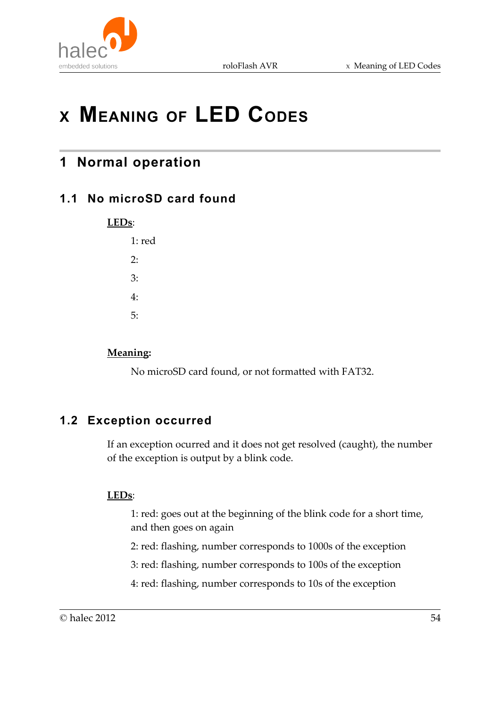



# **<sup>X</sup> MEANING OF LED CODES**

# **1 Normal operation**

# **1.1 No microSD card found**

**LEDs**:

| 1: red |  |
|--------|--|
| 2:     |  |
| 3:     |  |
| 4:     |  |
| 5:     |  |

### **Meaning:**

No microSD card found, or not formatted with FAT32.

# **1.2 Exception occurred**

If an exception ocurred and it does not get resolved (caught), the number of the exception is output by a blink code.

### **LEDs**:

1: red: goes out at the beginning of the blink code for a short time, and then goes on again

2: red: flashing, number corresponds to 1000s of the exception

3: red: flashing, number corresponds to 100s of the exception

4: red: flashing, number corresponds to 10s of the exception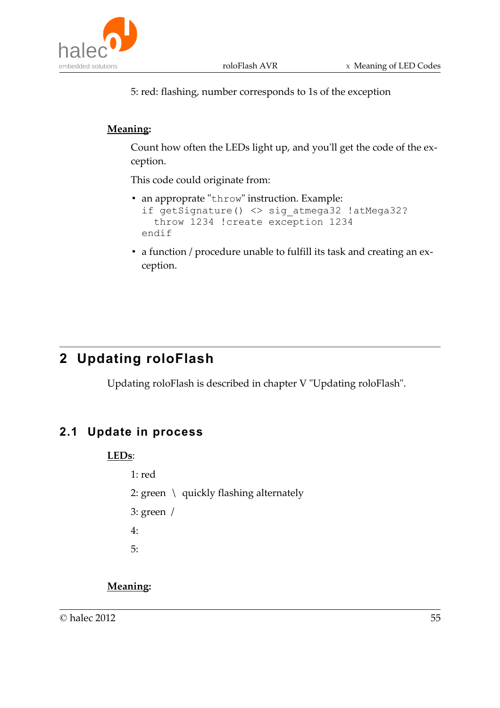5: red: flashing, number corresponds to 1s of the exception

### **Meaning:**

Count how often the LEDs light up, and you'll get the code of the exception.

This code could originate from:

- an approprate "throw" instruction. Example: if getSignature() <> sig\_atmega32 !atMega32? throw 1234 !create exception 1234 endif
- a function / procedure unable to fulfill its task and creating an exception.

# **2 Updating roloFlash**

Updating roloFlash is described in chapter V "Updating roloFlash".

# **2.1 Update in process**

### **LEDs**:

- 1: red
- 2: green \ quickly flashing alternately
- 3: green /
- 4:
- 5:

## **Meaning:**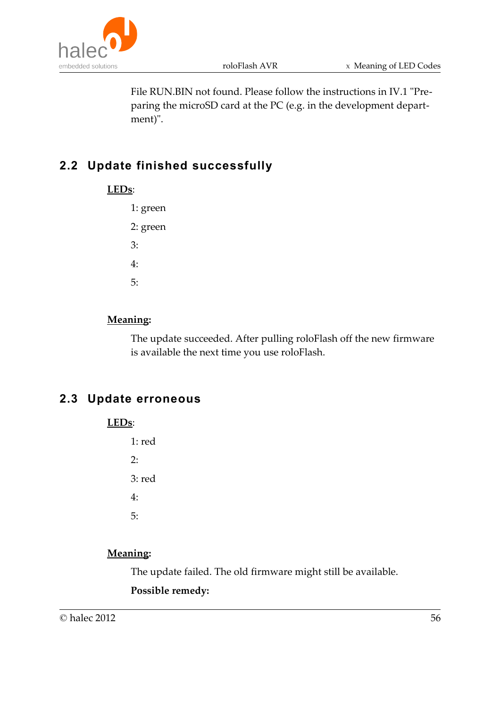

File RUN.BIN not found. Please follow the instructions in IV.1 "Preparing the microSD card at the PC (e.g. in the development department)".

# **2.2 Update finished successfully**

1: green 2: green 3: 4: 5:

### **Meaning:**

The update succeeded. After pulling roloFlash off the new firmware is available the next time you use roloFlash.

# **2.3 Update erroneous**

**LEDs**:

1: red 2: 3: red 4: 5:

### **Meaning:**

The update failed. The old firmware might still be available.

#### **Possible remedy:**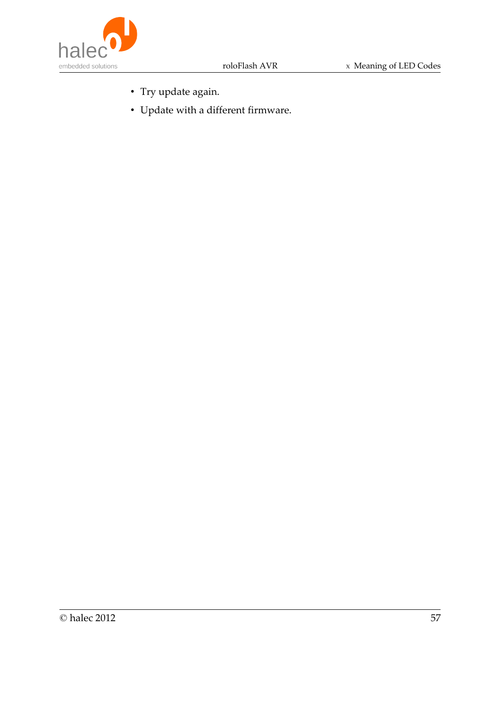

- Try update again.
- Update with a different firmware.